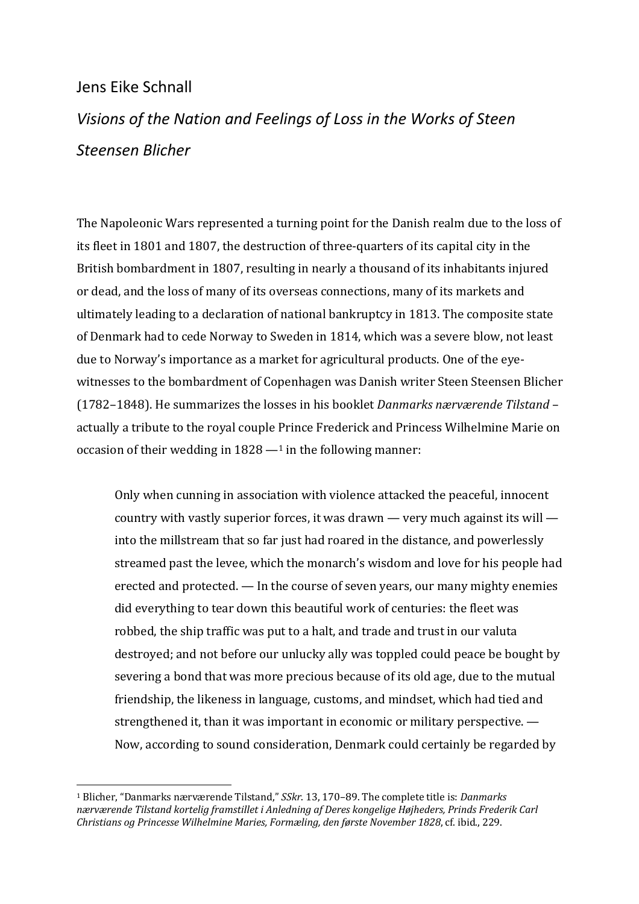# Jens Eike Schnall

# *Visions of the Nation and Feelings of Loss in the Works of Steen Steensen Blicher*

The Napoleonic Wars represented a turning point for the Danish realm due to the loss of its fleet in 1801 and 1807, the destruction of three-quarters of its capital city in the British bombardment in 1807, resulting in nearly a thousand of its inhabitants injured or dead, and the loss of many of its overseas connections, many of its markets and ultimately leading to a declaration of national bankruptcy in 1813. The composite state of Denmark had to cede Norway to Sweden in 1814, which was a severe blow, not least due to Norway's importance as a market for agricultural products. One of the eyewitnesses to the bombardment of Copenhagen was Danish writer Steen Steensen Blicher (1782–1848). He summarizes the losses in his booklet *Danmarks nærværende Tilstand* – actually a tribute to the royal couple Prince Frederick and Princess Wilhelmine Marie on occasion of their wedding in  $1828 - 1$  in the following manner:

Only when cunning in association with violence attacked the peaceful, innocent country with vastly superior forces, it was drawn  $-$  very much against its will  $$ into the millstream that so far just had roared in the distance, and powerlessly streamed past the levee, which the monarch's wisdom and love for his people had erected and protected.  $-$  In the course of seven years, our many mighty enemies did everything to tear down this beautiful work of centuries: the fleet was robbed, the ship traffic was put to a halt, and trade and trust in our valuta destroyed; and not before our unlucky ally was toppled could peace be bought by severing a bond that was more precious because of its old age, due to the mutual friendship, the likeness in language, customs, and mindset, which had tied and strengthened it, than it was important in economic or military perspective.  $-$ Now, according to sound consideration, Denmark could certainly be regarded by

<sup>&</sup>lt;sup>1</sup> Blicher, "Danmarks nærværende Tilstand," *SSkr*. 13, 170–89. The complete title is: *Danmarks nærværende Tilstand kortelig framstillet i Anledning af Deres kongelige Højheders, Prinds Frederik Carl Christians og Princesse Wilhelmine Maries, Formæling, den første November 1828*, cf. ibid., 229.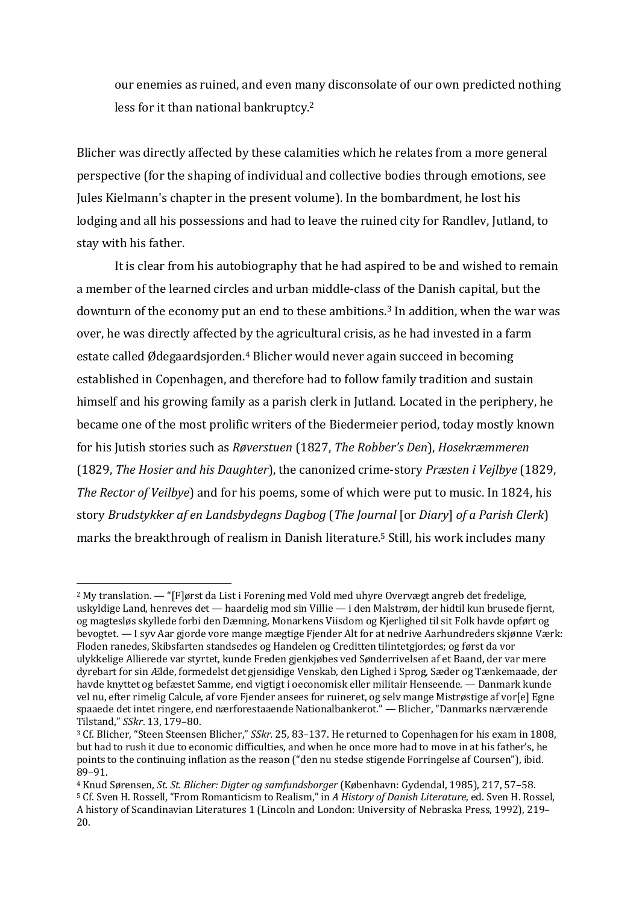our enemies as ruined, and even many disconsolate of our own predicted nothing less for it than national bankruptcy.<sup>2</sup>

Blicher was directly affected by these calamities which he relates from a more general perspective (for the shaping of individual and collective bodies through emotions, see Jules Kielmann's chapter in the present volume). In the bombardment, he lost his lodging and all his possessions and had to leave the ruined city for Randley, Jutland, to stay with his father.

It is clear from his autobiography that he had aspired to be and wished to remain a member of the learned circles and urban middle-class of the Danish capital, but the downturn of the economy put an end to these ambitions.<sup>3</sup> In addition, when the war was over, he was directly affected by the agricultural crisis, as he had invested in a farm estate called Ødegaardsjorden.<sup>4</sup> Blicher would never again succeed in becoming established in Copenhagen, and therefore had to follow family tradition and sustain himself and his growing family as a parish clerk in Jutland. Located in the periphery, he became one of the most prolific writers of the Biedermeier period, today mostly known for his Jutish stories such as *Røverstuen* (1827, *The Robber's Den*), *Hosekræmmeren* (1829, *The Hosier and his Daughter*), the canonized crime-story *Præsten i Vejlbye* (1829, *The Rector of Veilbye*) and for his poems, some of which were put to music. In 1824, his story *Brudstykker af en Landsbydegns Dagbog* (*The Journal* [or *Diary*] of a Parish Clerk) marks the breakthrough of realism in Danish literature.<sup>5</sup> Still, his work includes many

<sup>&</sup>lt;sup>2</sup> My translation. — "[F]ørst da List i Forening med Vold med uhyre Overvægt angreb det fredelige, uskyldige Land, henreves det - haardelig mod sin Villie - i den Malstrøm, der hidtil kun brusede fjernt, og magtesløs skyllede forbi den Dæmning, Monarkens Viisdom og Kierlighed til sit Folk havde opført og bevogtet. — I syv Aar gjorde vore mange mægtige Fjender Alt for at nedrive Aarhundreders skjønne Værk: Floden ranedes, Skibsfarten standsedes og Handelen og Creditten tilintetgjordes; og først da vor ulykkelige Allierede var styrtet, kunde Freden gjenkjøbes ved Sønderrivelsen af et Baand, der var mere dyrebart for sin Ælde, formedelst det gjensidige Venskab, den Lighed i Sprog, Sæder og Tænkemaade, der havde knyttet og befæstet Samme, end vigtigt i oeconomisk eller militair Henseende. — Danmark kunde vel nu, efter rimelig Calcule, af vore Fjender ansees for ruineret, og selv mange Mistrøstige af vor[e] Egne spaaede det intet ringere, end nærforestaaende Nationalbankerot." — Blicher, "Danmarks nærværende Tilstand," *SSkr*. 13, 179–80.

<sup>&</sup>lt;sup>3</sup> Cf. Blicher, "Steen Steensen Blicher," *SSkr.* 25, 83-137. He returned to Copenhagen for his exam in 1808, but had to rush it due to economic difficulties, and when he once more had to move in at his father's, he points to the continuing inflation as the reason ("den nu stedse stigende Forringelse af Coursen"), ibid. 89–91.

<sup>4</sup> Knud Sørensen, *St. St. Blicher: Digter og samfundsborger* (København: Gydendal, 1985), 217, 57–58. <sup>5</sup> Cf. Sven H. Rossell, "From Romanticism to Realism," in *A History of Danish Literature*, ed. Sven H. Rossel, A history of Scandinavian Literatures 1 (Lincoln and London: University of Nebraska Press, 1992), 219– 20.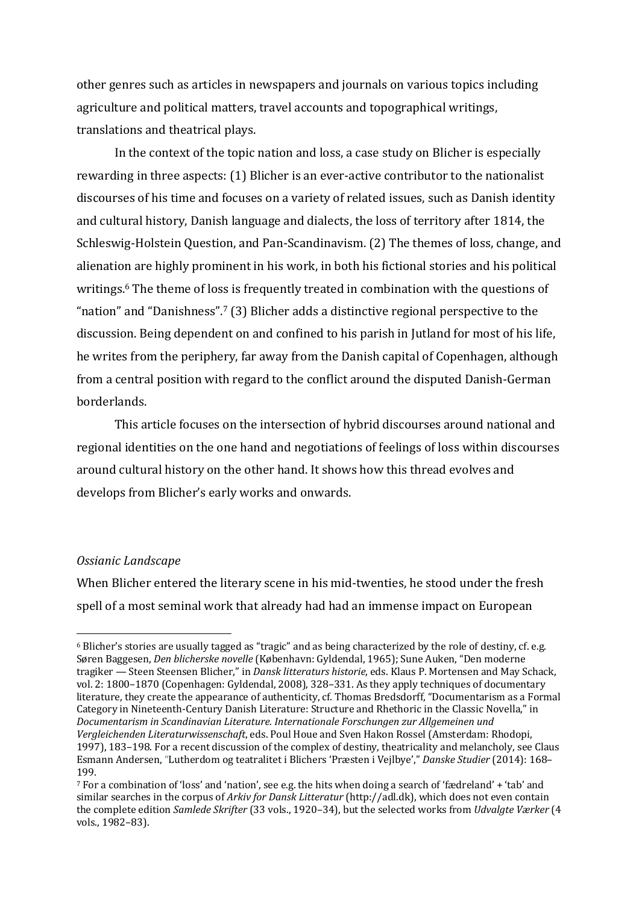other genres such as articles in newspapers and journals on various topics including agriculture and political matters, travel accounts and topographical writings, translations and theatrical plays.

In the context of the topic nation and loss, a case study on Blicher is especially rewarding in three aspects: (1) Blicher is an ever-active contributor to the nationalist discourses of his time and focuses on a variety of related issues, such as Danish identity and cultural history, Danish language and dialects, the loss of territory after 1814, the Schleswig-Holstein Question, and Pan-Scandinavism. (2) The themes of loss, change, and alienation are highly prominent in his work, in both his fictional stories and his political writings.<sup>6</sup> The theme of loss is frequently treated in combination with the questions of "nation" and "Danishness".<sup>7</sup> (3) Blicher adds a distinctive regional perspective to the discussion. Being dependent on and confined to his parish in Jutland for most of his life, he writes from the periphery, far away from the Danish capital of Copenhagen, although from a central position with regard to the conflict around the disputed Danish-German borderlands.

This article focuses on the intersection of hybrid discourses around national and regional identities on the one hand and negotiations of feelings of loss within discourses around cultural history on the other hand. It shows how this thread evolves and develops from Blicher's early works and onwards.

#### *Ossianic Landscape*

When Blicher entered the literary scene in his mid-twenties, he stood under the fresh spell of a most seminal work that already had had an immense impact on European

<sup>&</sup>lt;sup>6</sup> Blicher's stories are usually tagged as "tragic" and as being characterized by the role of destiny, cf. e.g. Søren Baggesen, *Den blicherske novelle* (København: Gyldendal, 1965); Sune Auken, "Den moderne tragiker — Steen Steensen Blicher," in *Dansk litteraturs historie*, eds. Klaus P. Mortensen and May Schack, vol. 2: 1800-1870 (Copenhagen: Gyldendal, 2008), 328-331. As they apply techniques of documentary literature, they create the appearance of authenticity, cf. Thomas Bredsdorff, "Documentarism as a Formal Category in Nineteenth-Century Danish Literature: Structure and Rhethoric in the Classic Novella," in Documentarism in Scandinavian Literature. Internationale Forschungen zur Allgemeinen und Vergleichenden Literaturwissenschaft, eds. Poul Houe and Sven Hakon Rossel (Amsterdam: Rhodopi. 1997), 183–198. For a recent discussion of the complex of destiny, theatricality and melancholy, see Claus Esmann Andersen, "Lutherdom og teatralitet i Blichers 'Præsten i Vejlbye'," *Danske Studier* (2014): 168– 199.

 $7$  For a combination of 'loss' and 'nation', see e.g. the hits when doing a search of 'fædreland' + 'tab' and similar searches in the corpus of Arkiv for Dansk Litteratur (http://adl.dk), which does not even contain the complete edition *Samlede Skrifter* (33 vols., 1920–34), but the selected works from *Udvalgte Værker* (4 vols., 1982-83).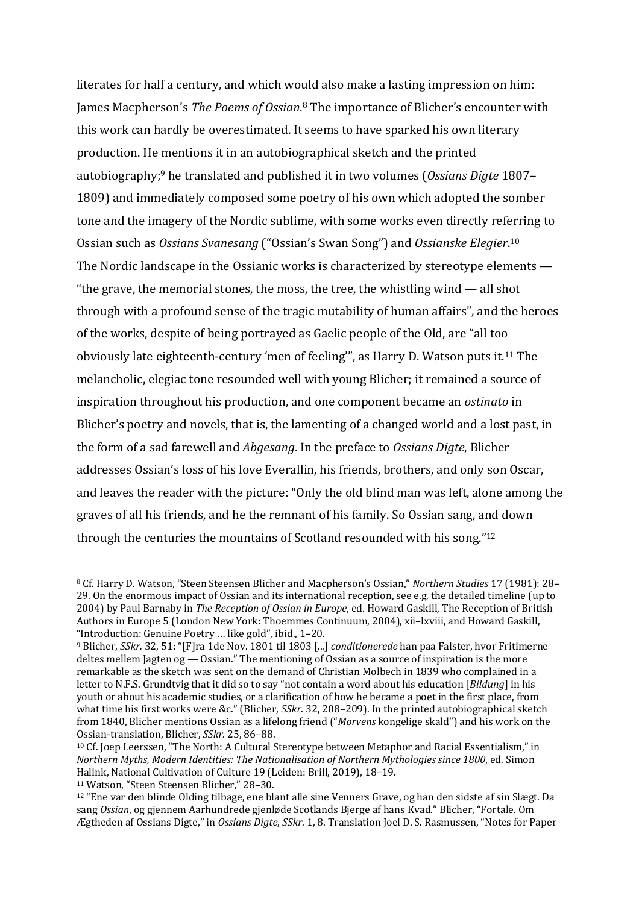literates for half a century, and which would also make a lasting impression on him: James Macpherson's *The Poems of Ossian*.<sup>8</sup> The importance of Blicher's encounter with this work can hardly be overestimated. It seems to have sparked his own literary production. He mentions it in an autobiographical sketch and the printed autobiography;<sup>9</sup> he translated and published it in two volumes (*Ossians Digte* 1807– 1809) and immediately composed some poetry of his own which adopted the somber tone and the imagery of the Nordic sublime, with some works even directly referring to Ossian such as *Ossians Svanesang* ("Ossian's Swan Song") and *Ossianske Elegier*.<sup>10</sup> The Nordic landscape in the Ossianic works is characterized by stereotype elements  $-$ "the grave, the memorial stones, the moss, the tree, the whistling wind  $-$  all shot through with a profound sense of the tragic mutability of human affairs", and the heroes of the works, despite of being portrayed as Gaelic people of the Old, are "all too obviously late eighteenth-century 'men of feeling'", as Harry D. Watson puts it.<sup>11</sup> The melancholic, elegiac tone resounded well with young Blicher; it remained a source of inspiration throughout his production, and one component became an *ostinato* in Blicher's poetry and novels, that is, the lamenting of a changed world and a lost past, in the form of a sad farewell and *Abgesang*. In the preface to *Ossians Digte*, Blicher addresses Ossian's loss of his love Everallin, his friends, brothers, and only son Oscar, and leaves the reader with the picture: "Only the old blind man was left, alone among the graves of all his friends, and he the remnant of his family. So Ossian sang, and down through the centuries the mountains of Scotland resounded with his song." $12$ 

<sup>8</sup> Cf. Harry D. Watson, "Steen Steensen Blicher and Macpherson's Ossian," Northern Studies 17 (1981): 28-29. On the enormous impact of Ossian and its international reception, see e.g. the detailed timeline (up to 2004) by Paul Barnaby in *The Reception of Ossian in Europe*, ed. Howard Gaskill, The Reception of British Authors in Europe 5 (London New York: Thoemmes Continuum, 2004), xii–lxviii, and Howard Gaskill, "Introduction: Genuine Poetry ... like gold", ibid., 1-20.

<sup>&</sup>lt;sup>9</sup> Blicher, *SSkr.* 32, 51: "[F]ra 1de Nov. 1801 til 1803 [...] *conditionerede* han paa Falster, hvor Fritimerne deltes mellem Jagten og — Ossian." The mentioning of Ossian as a source of inspiration is the more remarkable as the sketch was sent on the demand of Christian Molbech in 1839 who complained in a letter to N.F.S. Grundtvig that it did so to say "not contain a word about his education [*Bildung*] in his youth or about his academic studies, or a clarification of how he became a poet in the first place, from what time his first works were &c." (Blicher, *SSkr.* 32, 208–209). In the printed autobiographical sketch from 1840, Blicher mentions Ossian as a lifelong friend ("*Morvens* kongelige skald") and his work on the Ossian-translation, Blicher, *SSkr.* 25, 86-88.

<sup>&</sup>lt;sup>10</sup> Cf. Joep Leerssen, "The North: A Cultural Stereotype between Metaphor and Racial Essentialism," in *Northern Myths, Modern Identities: The Nationalisation of Northern Mythologies since 1800*, ed. Simon Halink, National Cultivation of Culture 19 (Leiden: Brill, 2019), 18-19.

<sup>&</sup>lt;sup>11</sup> Watson, "Steen Steensen Blicher," 28-30.

 $12$  "Ene var den blinde Olding tilbage, ene blant alle sine Venners Grave, og han den sidste af sin Slægt. Da sang *Ossian*, og gjennem Aarhundrede gjenløde Scotlands Bjerge af hans Kvad." Blicher, "Fortale. Om Ægtheden af Ossians Digte," in *Ossians Digte*, *SSkr*. 1, 8. Translation Joel D. S. Rasmussen, "Notes for Paper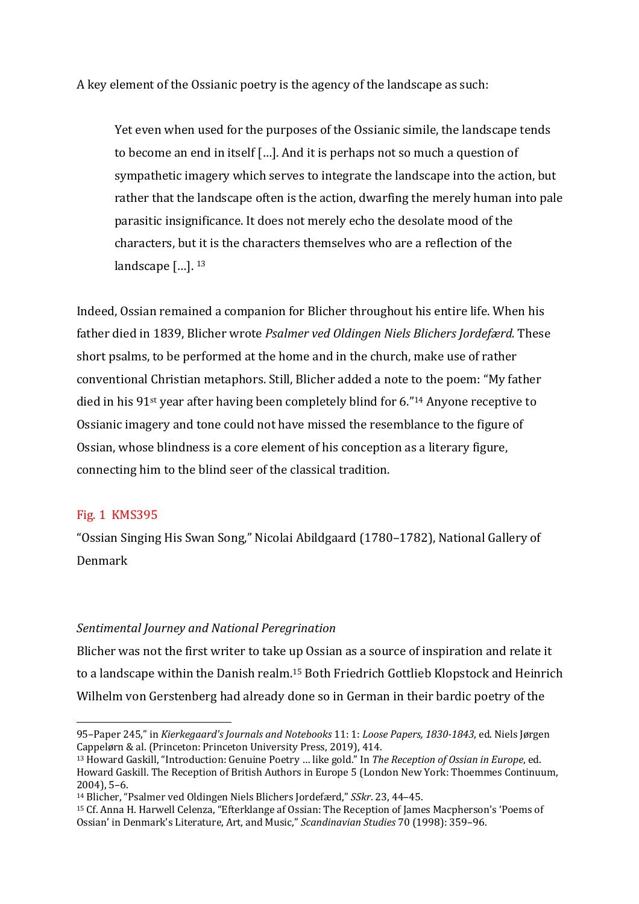A key element of the Ossianic poetry is the agency of the landscape as such:

Yet even when used for the purposes of the Ossianic simile, the landscape tends to become an end in itself  $[...]$ . And it is perhaps not so much a question of sympathetic imagery which serves to integrate the landscape into the action, but rather that the landscape often is the action, dwarfing the merely human into pale parasitic insignificance. It does not merely echo the desolate mood of the characters, but it is the characters themselves who are a reflection of the landscape  $[...]$ .  $^{13}$ 

Indeed, Ossian remained a companion for Blicher throughout his entire life. When his father died in 1839, Blicher wrote Psalmer ved Oldingen Niels Blichers Jordefærd. These short psalms, to be performed at the home and in the church, make use of rather conventional Christian metaphors. Still, Blicher added a note to the poem: "My father died in his  $91$ <sup>st</sup> year after having been completely blind for 6."<sup>14</sup> Anyone receptive to Ossianic imagery and tone could not have missed the resemblance to the figure of Ossian, whose blindness is a core element of his conception as a literary figure, connecting him to the blind seer of the classical tradition.

# Fig. 1 KMS395

"Ossian Singing His Swan Song," Nicolai Abildgaard (1780–1782), National Gallery of Denmark

### *Sentimental Journey and National Peregrination*

Blicher was not the first writer to take up Ossian as a source of inspiration and relate it to a landscape within the Danish realm.<sup>15</sup> Both Friedrich Gottlieb Klopstock and Heinrich Wilhelm von Gerstenberg had already done so in German in their bardic poetry of the

<sup>95–</sup>Paper 245," in *Kierkegaard's Journals and Notebooks* 11: 1: *Loose Papers, 1830-1843*, ed. Niels Jørgen Cappelørn & al. (Princeton: Princeton University Press, 2019), 414.

<sup>&</sup>lt;sup>13</sup> Howard Gaskill, "Introduction: Genuine Poetry ... like gold." In *The Reception of Ossian in Europe*, ed. Howard Gaskill. The Reception of British Authors in Europe 5 (London New York: Thoemmes Continuum,  $2004$ , 5–6.

<sup>&</sup>lt;sup>14</sup> Blicher, "Psalmer ved Oldingen Niels Blichers Jordefærd," *SSkr.* 23, 44–45.

<sup>&</sup>lt;sup>15</sup> Cf. Anna H. Harwell Celenza, "Efterklange af Ossian: The Reception of James Macpherson's 'Poems of Ossian' in Denmark's Literature, Art, and Music," *Scandinavian Studies* 70 (1998): 359-96.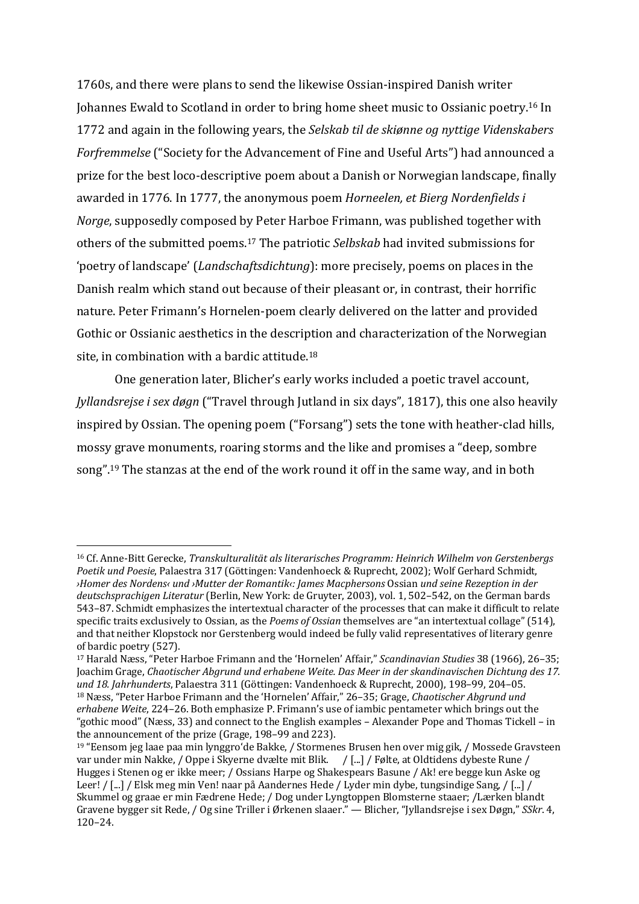1760s, and there were plans to send the likewise Ossian-inspired Danish writer Johannes Ewald to Scotland in order to bring home sheet music to Ossianic poetry.<sup>16</sup> In 1772 and again in the following years, the *Selskab til de skiønne og nyttige Videnskabers Forfremmelse* ("Society for the Advancement of Fine and Useful Arts") had announced a prize for the best loco-descriptive poem about a Danish or Norwegian landscape, finally awarded in 1776. In 1777, the anonymous poem *Horneelen, et Bierg Nordenfields i Norge*, supposedly composed by Peter Harboe Frimann, was published together with others of the submitted poems.<sup>17</sup> The patriotic *Selbskab* had invited submissions for 'poetry of landscape' (*Landschaftsdichtung*): more precisely, poems on places in the Danish realm which stand out because of their pleasant or, in contrast, their horrific nature. Peter Frimann's Hornelen-poem clearly delivered on the latter and provided Gothic or Ossianic aesthetics in the description and characterization of the Norwegian site, in combination with a bardic attitude.<sup>18</sup>

One generation later, Blicher's early works included a poetic travel account, *Jyllandsrejse i sex døgn* ("Travel through Jutland in six days", 1817), this one also heavily inspired by Ossian. The opening poem ("Forsang") sets the tone with heather-clad hills, mossy grave monuments, roaring storms and the like and promises a "deep, sombre song".<sup>19</sup> The stanzas at the end of the work round it off in the same way, and in both

<sup>&</sup>lt;sup>16</sup> Cf. Anne-Bitt Gerecke, *Transkulturalität als literarisches Programm: Heinrich Wilhelm von Gerstenbergs Poetik und Poesie*, Palaestra 317 (Göttingen: Vandenhoeck & Ruprecht, 2002); Wolf Gerhard Schmidt, *›Homer des Nordens‹ und ›Mutter der Romantik‹: James Macphersons* Ossian *und seine Rezeption in der*  deutschsprachigen Literatur (Berlin, New York: de Gruyter, 2003), vol. 1, 502–542, on the German bards 543–87. Schmidt emphasizes the intertextual character of the processes that can make it difficult to relate specific traits exclusively to Ossian, as the *Poems of Ossian* themselves are "an intertextual collage" (514), and that neither Klopstock nor Gerstenberg would indeed be fully valid representatives of literary genre of bardic poetry (527).

<sup>&</sup>lt;sup>17</sup> Harald Næss, "Peter Harboe Frimann and the 'Hornelen' Affair," *Scandinavian Studies* 38 (1966), 26-35; Joachim Grage, *Chaotischer Abgrund und erhabene Weite. Das Meer in der skandinavischen Dichtung des 17. und 18. Jahrhunderts*, Palaestra 311 (Göttingen: Vandenhoeck & Ruprecht, 2000), 198–99, 204–05. <sup>18</sup> Næss, "Peter Harboe Frimann and the 'Hornelen' Affair," 26–35; Grage, *Chaotischer Abgrund und* erhabene Weite, 224–26. Both emphasize P. Frimann's use of iambic pentameter which brings out the "gothic mood" (Næss, 33) and connect to the English examples – Alexander Pope and Thomas Tickell – in the announcement of the prize (Grage, 198–99 and 223).

 $19$  "Eensom jeg laae paa min lynggro'de Bakke, / Stormenes Brusen hen over mig gik, / Mossede Graysteen var under min Nakke, / Oppe i Skyerne dvælte mit Blik. / [...] / Følte, at Oldtidens dybeste Rune / Hugges i Stenen og er ikke meer; / Ossians Harpe og Shakespears Basune / Ak! ere begge kun Aske og Leer! / [...] / Elsk meg min Ven! naar på Aandernes Hede / Lyder min dybe, tungsindige Sang, / [...] / Skummel og graae er min Fædrene Hede; / Dog under Lyngtoppen Blomsterne staaer; /Lærken blandt Gravene bygger sit Rede, / Og sine Triller i Ørkenen slaaer." — Blicher, "Jyllandsrejse i sex Døgn," SSkr. 4, 120–24.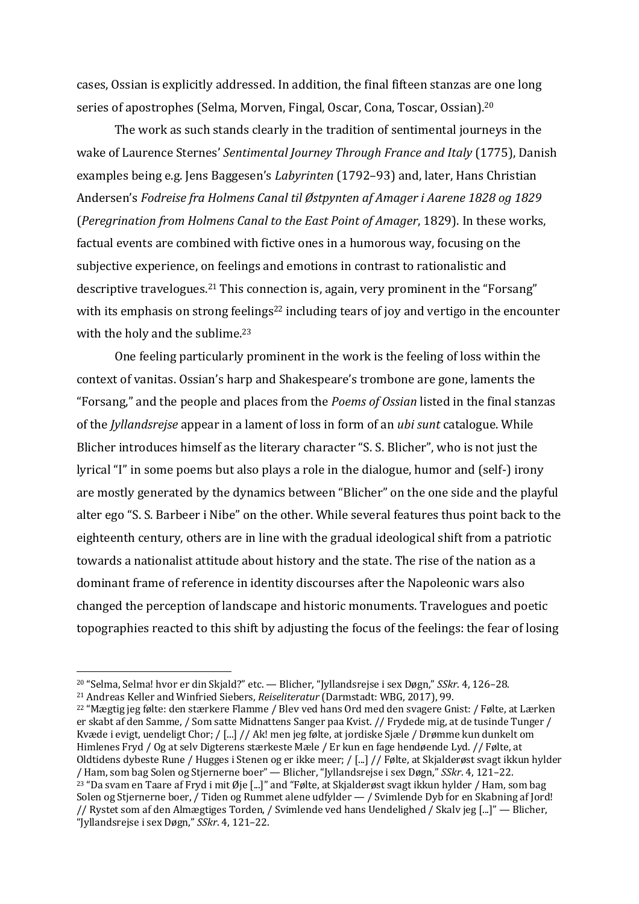cases, Ossian is explicitly addressed. In addition, the final fifteen stanzas are one long series of apostrophes (Selma, Morven, Fingal, Oscar, Cona, Toscar, Ossian).<sup>20</sup>

The work as such stands clearly in the tradition of sentimental journeys in the wake of Laurence Sternes' *Sentimental Journey Through France and Italy* (1775), Danish examples being e.g. Jens Baggesen's *Labyrinten* (1792–93) and, later, Hans Christian Andersen's *Fodreise fra Holmens Canal til Østpynten af Amager i Agrene 1828 og 1829* (*Peregrination from Holmens Canal to the East Point of Amager*, 1829). In these works, factual events are combined with fictive ones in a humorous way, focusing on the subjective experience, on feelings and emotions in contrast to rationalistic and descriptive travelogues.<sup>21</sup> This connection is, again, very prominent in the "Forsang" with its emphasis on strong feelings<sup>22</sup> including tears of joy and vertigo in the encounter with the holy and the sublime. $23$ 

One feeling particularly prominent in the work is the feeling of loss within the context of vanitas. Ossian's harp and Shakespeare's trombone are gone, laments the "Forsang," and the people and places from the *Poems of Ossian* listed in the final stanzas of the *Jyllandsrejse* appear in a lament of loss in form of an *ubi sunt* catalogue. While Blicher introduces himself as the literary character "S. S. Blicher", who is not just the lyrical "I" in some poems but also plays a role in the dialogue, humor and (self-) irony are mostly generated by the dynamics between "Blicher" on the one side and the playful alter ego "S. S. Barbeer i Nibe" on the other. While several features thus point back to the eighteenth century, others are in line with the gradual ideological shift from a patriotic towards a nationalist attitude about history and the state. The rise of the nation as a dominant frame of reference in identity discourses after the Napoleonic wars also changed the perception of landscape and historic monuments. Travelogues and poetic topographies reacted to this shift by adjusting the focus of the feelings: the fear of losing

<sup>&</sup>lt;sup>20</sup> "Selma, Selma! hvor er din Skjald?" etc. — Blicher, "[yllandsrejse i sex Døgn," *SSkr.* 4, 126–28.

<sup>&</sup>lt;sup>21</sup> Andreas Keller and Winfried Siebers, *Reiseliteratur* (Darmstadt: WBG, 2017), 99.

 $22$  "Mægtig jeg følte: den stærkere Flamme / Blev ved hans Ord med den svagere Gnist: / Følte, at Lærken er skabt af den Samme, / Som satte Midnattens Sanger paa Kvist. // Frydede mig, at de tusinde Tunger / Kvæde i evigt, uendeligt Chor; / [...] // Ak! men jeg følte, at jordiske Sjæle / Drømme kun dunkelt om Himlenes Fryd / Og at selv Digterens stærkeste Mæle / Er kun en fage hendøende Lyd. // Følte, at Oldtidens dybeste Rune / Hugges i Stenen og er ikke meer; / [...] // Følte, at Skjalderøst svagt ikkun hylder / Ham, som bag Solen og Stjernerne boer" — Blicher, "Jyllandsrejse i sex Døgn," *SSkr*. 4, 121–22.  $^{23}$  "Da svam en Taare af Fryd i mit Øje [...]" and "Følte, at Skjalderøst svagt ikkun hylder / Ham, som bag Solen og Stjernerne boer, / Tiden og Rummet alene udfylder  $-$  / Svimlende Dyb for en Skabning af Jord! // Rystet som af den Almægtiges Torden, / Svimlende ved hans Uendelighed / Skalv jeg [...]" — Blicher, "Jyllandsrejse i sex Døgn," *SSkr*. 4, 121–22.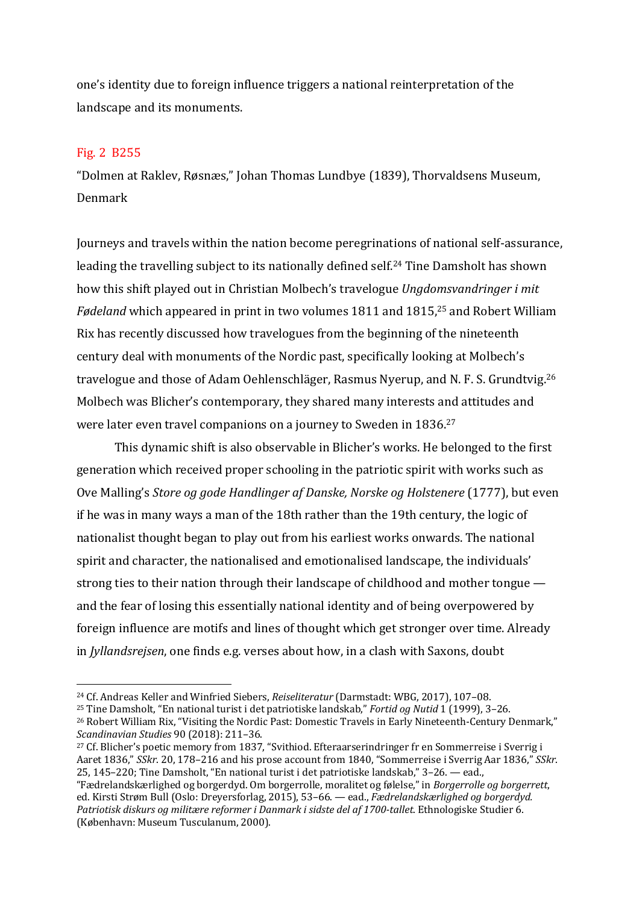one's identity due to foreign influence triggers a national reinterpretation of the landscape and its monuments.

## Fig. 2 B255

"Dolmen at Raklev, Røsnæs," Johan Thomas Lundbye (1839), Thorvaldsens Museum, Denmark

Journeys and travels within the nation become peregrinations of national self-assurance, leading the travelling subject to its nationally defined self.<sup>24</sup> Tine Damsholt has shown how this shift played out in Christian Molbech's travelogue *Ungdomsvandringer i mit Fødeland* which appeared in print in two volumes 1811 and 1815,<sup>25</sup> and Robert William Rix has recently discussed how travelogues from the beginning of the nineteenth century deal with monuments of the Nordic past, specifically looking at Molbech's travelogue and those of Adam Oehlenschläger, Rasmus Nyerup, and N. F. S. Grundtvig.<sup>26</sup> Molbech was Blicher's contemporary, they shared many interests and attitudes and were later even travel companions on a journey to Sweden in  $1836.^{27}$ 

This dynamic shift is also observable in Blicher's works. He belonged to the first generation which received proper schooling in the patriotic spirit with works such as Ove Malling's *Store og gode Handlinger af Danske, Norske og Holstenere* (1777), but even if he was in many ways a man of the 18th rather than the 19th century, the logic of nationalist thought began to play out from his earliest works onwards. The national spirit and character, the nationalised and emotionalised landscape, the individuals' strong ties to their nation through their landscape of childhood and mother tongue  $$ and the fear of losing this essentially national identity and of being overpowered by foreign influence are motifs and lines of thought which get stronger over time. Already in *Jyllandsrejsen*, one finds e.g. verses about how, in a clash with Saxons, doubt

<sup>25</sup> Tine Damsholt, "En national turist i det patriotiske landskab," *Fortid og Nutid* 1 (1999), 3-26.

<sup>&</sup>lt;sup>24</sup> Cf. Andreas Keller and Winfried Siebers, *Reiseliteratur* (Darmstadt: WBG, 2017), 107-08.

<sup>&</sup>lt;sup>26</sup> Robert William Rix, "Visiting the Nordic Past: Domestic Travels in Early Nineteenth-Century Denmark," *Scandinavian Studies* 90 (2018): 211–36.

 $27$  Cf. Blicher's poetic memory from 1837, "Svithiod. Efteraarserindringer fr en Sommerreise i Sverrig i Aaret 1836," *SSkr.* 20, 178–216 and his prose account from 1840, "Sommerreise i Sverrig Aar 1836," *SSkr.* 25, 145-220; Tine Damsholt, "En national turist i det patriotiske landskab,"  $3-26$ . — ead.,

<sup>&</sup>quot;Fædrelandskærlighed og borgerdyd. Om borgerrolle, moralitet og følelse," in *Borgerrolle og borgerrett*, ed. Kirsti Strøm Bull (Oslo: Dreyersforlag, 2015), 53-66. — ead., *Fædrelandskærlighed og borgerdyd.* Patriotisk diskurs og militære reformer i Danmark i sidste del af 1700-tallet. Ethnologiske Studier 6. (København: Museum Tusculanum, 2000).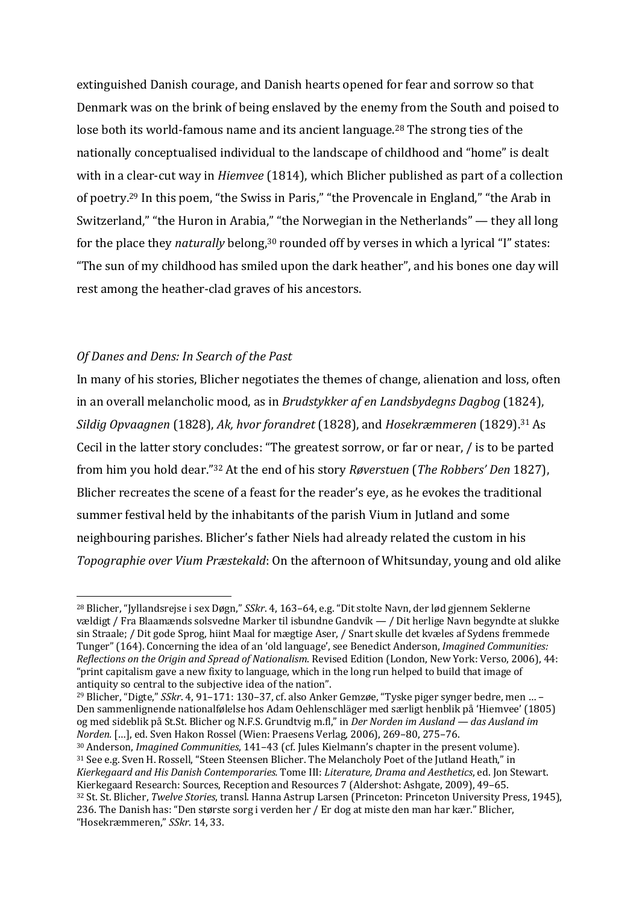extinguished Danish courage, and Danish hearts opened for fear and sorrow so that Denmark was on the brink of being enslaved by the enemy from the South and poised to lose both its world-famous name and its ancient language.<sup>28</sup> The strong ties of the nationally conceptualised individual to the landscape of childhood and "home" is dealt with in a clear-cut way in *Hiemvee* (1814), which Blicher published as part of a collection of poetry.<sup>29</sup> In this poem, "the Swiss in Paris," "the Provencale in England," "the Arab in Switzerland," "the Huron in Arabia," "the Norwegian in the Netherlands"  $-$  they all long for the place they *naturally* belong,<sup>30</sup> rounded off by verses in which a lyrical "I" states: "The sun of my childhood has smiled upon the dark heather", and his bones one day will rest among the heather-clad graves of his ancestors.

### **Of Danes and Dens: In Search of the Past**

In many of his stories, Blicher negotiates the themes of change, alienation and loss, often in an overall melancholic mood, as in *Brudstykker af en Landsbydegns Dagbog* (1824), *Sildig Opvaagnen* (1828), *Ak, hvor forandret* (1828), and *Hosekræmmeren* (1829).<sup>31</sup> As Cecil in the latter story concludes: "The greatest sorrow, or far or near, / is to be parted from him you hold dear."<sup>32</sup> At the end of his story *Røverstuen* (*The Robbers' Den* 1827), Blicher recreates the scene of a feast for the reader's eye, as he evokes the traditional summer festival held by the inhabitants of the parish Vium in Jutland and some neighbouring parishes. Blicher's father Niels had already related the custom in his *Topographie over Vium Præstekald*: On the afternoon of Whitsunday, young and old alike

<sup>&</sup>lt;sup>28</sup> Blicher, "Jyllandsrejse i sex Døgn," *SSkr*. 4, 163–64, e.g. "Dit stolte Navn, der lød gjennem Seklerne vældigt / Fra Blaamænds solsvedne Marker til isbundne Gandvik — / Dit herlige Navn begyndte at slukke sin Straale; / Dit gode Sprog, hiint Maal for mægtige Aser, / Snart skulle det kvæles af Sydens fremmede Tunger" (164). Concerning the idea of an 'old language', see Benedict Anderson, *Imagined Communities: Reflections on the Origin and Spread of Nationalism.* Revised Edition (London, New York: Verso, 2006), 44: "print capitalism gave a new fixity to language, which in the long run helped to build that image of antiquity so central to the subjective idea of the nation".

 $^{29}$  Blicher, "Digte," *SSkr.* 4, 91–171: 130–37, cf. also Anker Gemzøe, "Tyske piger synger bedre, men ... – Den sammenlignende nationalfølelse hos Adam Oehlenschläger med særligt henblik på 'Hiemvee' (1805) og med sideblik på St.St. Blicher og N.F.S. Grundtvig m.fl," in *Der Norden im Ausland — das Ausland im Norden.* [...], ed. Sven Hakon Rossel (Wien: Praesens Verlag, 2006), 269-80, 275-76.

<sup>&</sup>lt;sup>30</sup> Anderson, *Imagined Communities*, 141–43 (cf. Jules Kielmann's chapter in the present volume). <sup>31</sup> See e.g. Sven H. Rossell, "Steen Steensen Blicher. The Melancholy Poet of the Jutland Heath," in *Kierkegaard and His Danish Contemporaries.* Tome III: *Literature, Drama and Aesthetics*, ed. Jon Stewart. Kierkegaard Research: Sources, Reception and Resources 7 (Aldershot: Ashgate, 2009), 49-65. <sup>32</sup> St. St. Blicher, *Twelve Stories*, transl. Hanna Astrup Larsen (Princeton: Princeton University Press, 1945), 236. The Danish has: "Den største sorg i verden her / Er dog at miste den man har kær." Blicher, "Hosekræmmeren," *SSkr*. 14, 33.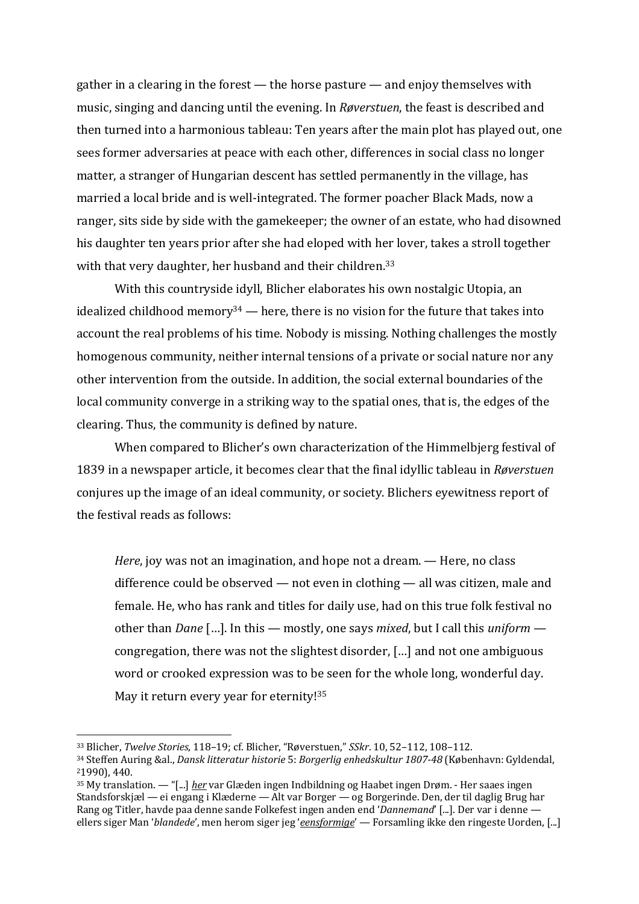gather in a clearing in the forest  $-$  the horse pasture  $-$  and enjoy themselves with music, singing and dancing until the evening. In *Røverstuen*, the feast is described and then turned into a harmonious tableau: Ten years after the main plot has played out, one sees former adversaries at peace with each other, differences in social class no longer matter, a stranger of Hungarian descent has settled permanently in the village, has married a local bride and is well-integrated. The former poacher Black Mads, now a ranger, sits side by side with the gamekeeper; the owner of an estate, who had disowned his daughter ten years prior after she had eloped with her lover, takes a stroll together with that very daughter, her husband and their children.<sup>33</sup>

With this countryside idyll, Blicher elaborates his own nostalgic Utopia, an idealized childhood memory<sup>34</sup> — here, there is no vision for the future that takes into account the real problems of his time. Nobody is missing. Nothing challenges the mostly homogenous community, neither internal tensions of a private or social nature nor any other intervention from the outside. In addition, the social external boundaries of the local community converge in a striking way to the spatial ones, that is, the edges of the clearing. Thus, the community is defined by nature.

When compared to Blicher's own characterization of the Himmelbjerg festival of 1839 in a newspaper article, it becomes clear that the final idyllic tableau in *Røverstuen* conjures up the image of an ideal community, or society. Blichers eyewitness report of the festival reads as follows:

*Here*, joy was not an imagination, and hope not a dream. — Here, no class difference could be observed  $-$  not even in clothing  $-$  all was citizen, male and female. He, who has rank and titles for daily use, had on this true folk festival no other than *Dane* [...]. In this — mostly, one says *mixed*, but I call this *uniform* congregation, there was not the slightest disorder, [...] and not one ambiguous word or crooked expression was to be seen for the whole long, wonderful day. May it return every year for eternity! $35$ 

<sup>33</sup> Blicher, *Twelve Stories*, 118–19; cf. Blicher, "Røverstuen," *SSkr*. 10, 52–112, 108–112.

<sup>34</sup> Steffen Auring &al., *Dansk litteratur historie* 5: *Borgerlig enhedskultur* 1807-48 (København: Gyldendal, 21990), 440.

<sup>&</sup>lt;sup>35</sup> My translation. — "[...] *her* var Glæden ingen Indbildning og Haabet ingen Drøm. - Her saaes ingen Standsforskjæl — ei engang i Klæderne — Alt var Borger — og Borgerinde. Den, der til daglig Brug har Rang og Titler, havde paa denne sande Folkefest ingen anden end '*Dannemand'* [...]. Der var i denne ellers siger Man '*blandede'*, men herom siger jeg '*eensformige'* — Forsamling ikke den ringeste Uorden, [...]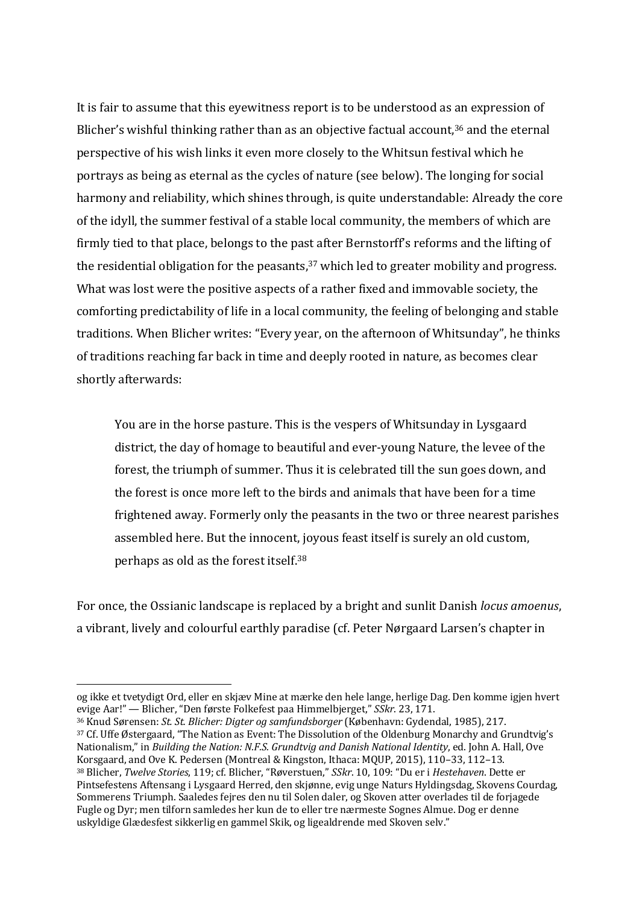It is fair to assume that this eyewitness report is to be understood as an expression of Blicher's wishful thinking rather than as an objective factual account, $36$  and the eternal perspective of his wish links it even more closely to the Whitsun festival which he portrays as being as eternal as the cycles of nature (see below). The longing for social harmony and reliability, which shines through, is quite understandable: Already the core of the idyll, the summer festival of a stable local community, the members of which are firmly tied to that place, belongs to the past after Bernstorff's reforms and the lifting of the residential obligation for the peasants, $37$  which led to greater mobility and progress. What was lost were the positive aspects of a rather fixed and immovable society, the comforting predictability of life in a local community, the feeling of belonging and stable traditions. When Blicher writes: "Every year, on the afternoon of Whitsunday", he thinks of traditions reaching far back in time and deeply rooted in nature, as becomes clear shortly afterwards:

You are in the horse pasture. This is the vespers of Whitsunday in Lysgaard district, the day of homage to beautiful and ever-young Nature, the levee of the forest, the triumph of summer. Thus it is celebrated till the sun goes down, and the forest is once more left to the birds and animals that have been for a time frightened away. Formerly only the peasants in the two or three nearest parishes assembled here. But the innocent, joyous feast itself is surely an old custom, perhaps as old as the forest itself.<sup>38</sup>

For once, the Ossianic landscape is replaced by a bright and sunlit Danish *locus amoenus*, a vibrant, lively and colourful earthly paradise (cf. Peter Nørgaard Larsen's chapter in

 $37$  Cf. Uffe Østergaard, "The Nation as Event: The Dissolution of the Oldenburg Monarchy and Grundtvig's Nationalism," in *Building the Nation: N.F.S. Grundtvig and Danish National Identity*, ed. John A. Hall, Ove Korsgaard, and Ove K. Pedersen (Montreal & Kingston, Ithaca: MOUP, 2015), 110-33, 112-13.

og ikke et tvetydigt Ord, eller en skjæv Mine at mærke den hele lange, herlige Dag. Den komme igjen hvert evige Aar!" — Blicher, "Den første Folkefest paa Himmelbjerget," *SSkr.* 23, 171.

<sup>36</sup> Knud Sørensen: *St. St. Blicher: Digter og samfundsborger* (København: Gydendal, 1985), 217.

<sup>38</sup> Blicher, *Twelve Stories*, 119; cf. Blicher, "Røverstuen," *SSkr*. 10, 109: "Du er i Hestehaven. Dette er Pintsefestens Aftensang i Lysgaard Herred, den skjønne, evig unge Naturs Hyldingsdag, Skovens Courdag, Sommerens Triumph. Saaledes fejres den nu til Solen daler, og Skoven atter overlades til de forjagede Fugle og Dyr; men tilforn samledes her kun de to eller tre nærmeste Sognes Almue. Dog er denne uskyldige Glædesfest sikkerlig en gammel Skik, og ligealdrende med Skoven selv."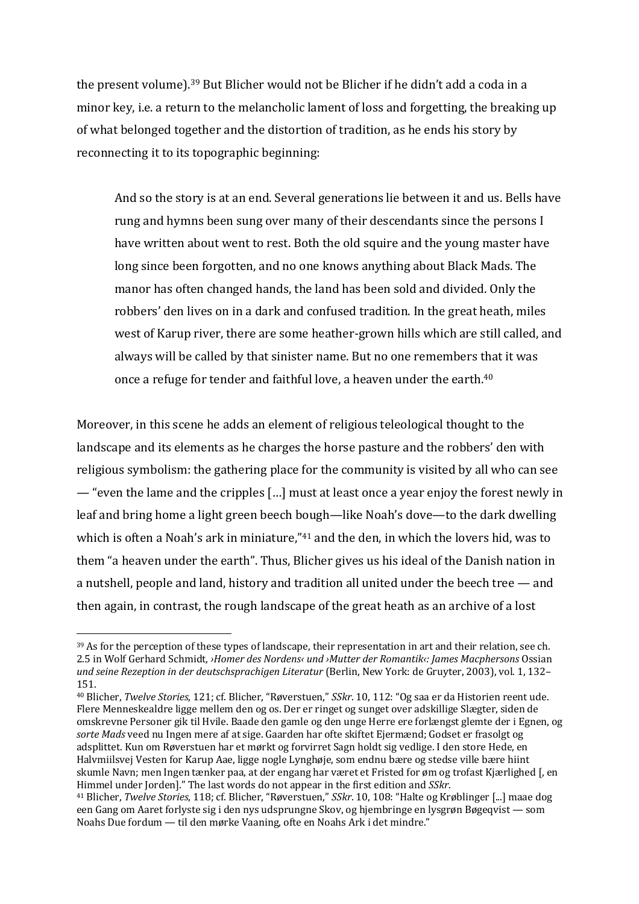the present volume).<sup>39</sup> But Blicher would not be Blicher if he didn't add a coda in a minor key, i.e. a return to the melancholic lament of loss and forgetting, the breaking up of what belonged together and the distortion of tradition, as he ends his story by reconnecting it to its topographic beginning:

And so the story is at an end. Several generations lie between it and us. Bells have rung and hymns been sung over many of their descendants since the persons I have written about went to rest. Both the old squire and the young master have long since been forgotten, and no one knows anything about Black Mads. The manor has often changed hands, the land has been sold and divided. Only the robbers' den lives on in a dark and confused tradition. In the great heath, miles west of Karup river, there are some heather-grown hills which are still called, and always will be called by that sinister name. But no one remembers that it was once a refuge for tender and faithful love, a heaven under the earth. $40$ 

Moreover, in this scene he adds an element of religious teleological thought to the landscape and its elements as he charges the horse pasture and the robbers' den with religious symbolism: the gathering place for the community is visited by all who can see — "even the lame and the cripples  $\left[\ldots\right]$  must at least once a year enjoy the forest newly in leaf and bring home a light green beech bough—like Noah's dove—to the dark dwelling which is often a Noah's ark in miniature," $41$  and the den, in which the lovers hid, was to them "a heaven under the earth". Thus, Blicher gives us his ideal of the Danish nation in a nutshell, people and land, history and tradition all united under the beech tree  $-$  and then again, in contrast, the rough landscape of the great heath as an archive of a lost

<sup>39</sup> As for the perception of these types of landscape, their representation in art and their relation, see ch. 2.5 in Wolf Gerhard Schmidt, *>Homer des Nordens« und >Mutter der Romantik«: James Macphersons* Ossian *und seine Rezeption in der deutschsprachigen Literatur* (Berlin, New York: de Gruyter, 2003), vol. 1, 132– 151.

<sup>&</sup>lt;sup>40</sup> Blicher, *Twelve Stories*, 121; cf. Blicher, "Røverstuen," *SSkr*. 10, 112: "Og saa er da Historien reent ude. Flere Menneskealdre ligge mellem den og os. Der er ringet og sunget over adskillige Slægter, siden de omskrevne Personer gik til Hvile. Baade den gamle og den unge Herre ere forlængst glemte der i Egnen, og sorte Mads veed nu Ingen mere af at sige. Gaarden har ofte skiftet Ejermænd; Godset er frasolgt og adsplittet. Kun om Røyerstuen har et mørkt og forvirret Sagn holdt sig vedlige. I den store Hede, en Halymiilsvej Vesten for Karup Aae, ligge nogle Lynghøje, som endnu bære og stedse ville bære hiint skumle Navn; men Ingen tænker paa, at der engang har været et Fristed for øm og trofast Kjærlighed [, en Himmel under Jorden]." The last words do not appear in the first edition and *SSkr*.

<sup>&</sup>lt;sup>41</sup> Blicher, *Twelve Stories*, 118; cf. Blicher, "Røverstuen," *SSkr.* 10, 108: "Halte og Krøblinger [...] maae dog een Gang om Aaret forlyste sig i den nys udsprungne Skov, og hjembringe en lysgrøn Bøgeqvist — som Noahs Due fordum — til den mørke Vaaning, ofte en Noahs Ark i det mindre."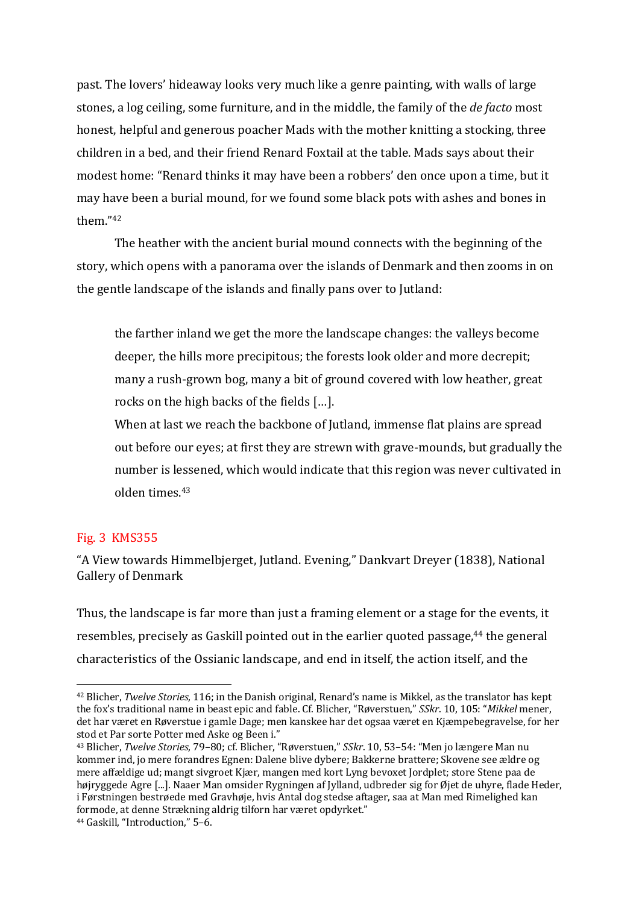past. The lovers' hideaway looks very much like a genre painting, with walls of large stones, a log ceiling, some furniture, and in the middle, the family of the *de facto* most honest, helpful and generous poacher Mads with the mother knitting a stocking, three children in a bed, and their friend Renard Foxtail at the table. Mads says about their modest home: "Renard thinks it may have been a robbers' den once upon a time, but it may have been a burial mound, for we found some black pots with ashes and bones in them<sup>"42</sup>

The heather with the ancient burial mound connects with the beginning of the story, which opens with a panorama over the islands of Denmark and then zooms in on the gentle landscape of the islands and finally pans over to Jutland:

the farther inland we get the more the landscape changes: the valleys become deeper, the hills more precipitous; the forests look older and more decrepit; many a rush-grown bog, many a bit of ground covered with low heather, great rocks on the high backs of the fields [...].

When at last we reach the backbone of Jutland, immense flat plains are spread out before our eyes; at first they are strewn with grave-mounds, but gradually the number is lessened, which would indicate that this region was never cultivated in olden times.<sup>43</sup>

### Fig. 3 KMS355

"A View towards Himmelbierget, Jutland, Evening," Dankvart Dreyer (1838), National Gallery of Denmark

Thus, the landscape is far more than just a framing element or a stage for the events, it resembles, precisely as Gaskill pointed out in the earlier quoted passage,<sup>44</sup> the general characteristics of the Ossianic landscape, and end in itself, the action itself, and the

<sup>&</sup>lt;sup>42</sup> Blicher, *Twelve Stories*, 116; in the Danish original, Renard's name is Mikkel, as the translator has kept the fox's traditional name in beast epic and fable. Cf. Blicher, "Røverstuen," *SSkr*. 10, 105: "*Mikkel* mener, det har været en Røverstue i gamle Dage; men kanskee har det ogsaa været en Kjæmpebegravelse, for her stod et Par sorte Potter med Aske og Been i."

<sup>&</sup>lt;sup>43</sup> Blicher, *Twelve Stories*, 79–80; cf. Blicher, "Røverstuen," *SSkr*. 10, 53–54: "Men jo længere Man nu kommer ind, jo mere forandres Egnen: Dalene blive dybere; Bakkerne brattere; Skovene see ældre og mere affældige ud; mangt sivgroet Kjær, mangen med kort Lyng bevoxet Jordplet; store Stene paa de højryggede Agre [...]. Naaer Man omsider Rygningen af Jylland, udbreder sig for Øjet de uhyre, flade Heder, i Førstningen bestrøede med Gravhøje, hvis Antal dog stedse aftager, saa at Man med Rimelighed kan formode, at denne Strækning aldrig tilforn har været opdyrket."

<sup>&</sup>lt;sup>44</sup> Gaskill, "Introduction," 5-6.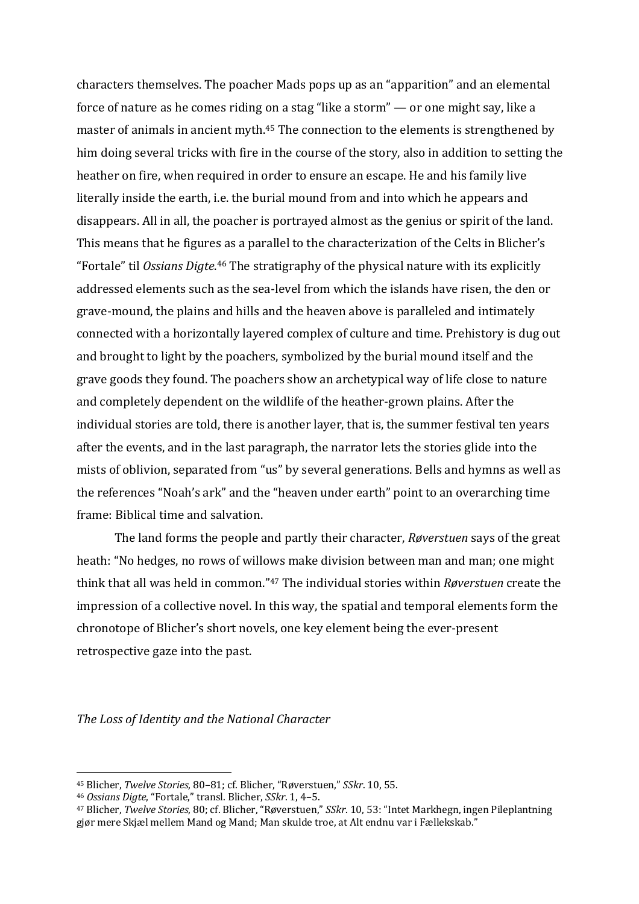characters themselves. The poacher Mads pops up as an "apparition" and an elemental force of nature as he comes riding on a stag "like a storm"  $-$  or one might say, like a master of animals in ancient myth.<sup>45</sup> The connection to the elements is strengthened by him doing several tricks with fire in the course of the story, also in addition to setting the heather on fire, when required in order to ensure an escape. He and his family live literally inside the earth, i.e. the burial mound from and into which he appears and disappears. All in all, the poacher is portrayed almost as the genius or spirit of the land. This means that he figures as a parallel to the characterization of the Celts in Blicher's "Fortale" til Ossians Digte.<sup>46</sup> The stratigraphy of the physical nature with its explicitly addressed elements such as the sea-level from which the islands have risen, the den or grave-mound, the plains and hills and the heaven above is paralleled and intimately connected with a horizontally layered complex of culture and time. Prehistory is dug out and brought to light by the poachers, symbolized by the burial mound itself and the grave goods they found. The poachers show an archetypical way of life close to nature and completely dependent on the wildlife of the heather-grown plains. After the individual stories are told, there is another layer, that is, the summer festival ten years after the events, and in the last paragraph, the narrator lets the stories glide into the mists of oblivion, separated from "us" by several generations. Bells and hymns as well as the references "Noah's ark" and the "heaven under earth" point to an overarching time frame: Biblical time and salvation.

The land forms the people and partly their character, *Røverstuen* says of the great heath: "No hedges, no rows of willows make division between man and man; one might think that all was held in common."<sup>47</sup> The individual stories within *Røverstuen* create the impression of a collective novel. In this way, the spatial and temporal elements form the chronotope of Blicher's short novels, one key element being the ever-present retrospective gaze into the past.

*The Loss of Identity and the National Character*

<sup>&</sup>lt;sup>45</sup> Blicher, *Twelve Stories*, 80-81; cf. Blicher, "Røverstuen," *SSkr.* 10, 55.

<sup>&</sup>lt;sup>46</sup> *Ossians Digte*, "Fortale," transl. Blicher, *SSkr.* 1, 4-5.

<sup>&</sup>lt;sup>47</sup> Blicher, *Twelve Stories*, 80; cf. Blicher, "Røverstuen," *SSkr.* 10, 53: "Intet Markhegn, ingen Pileplantning gjør mere Skjæl mellem Mand og Mand; Man skulde troe, at Alt endnu var i Fællekskab."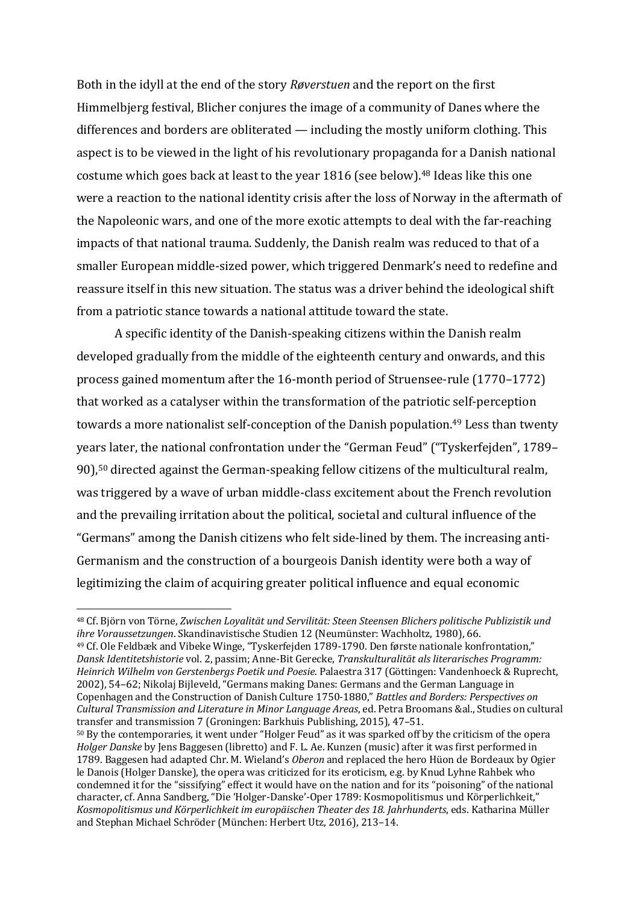Both in the idyll at the end of the story *Røverstuen* and the report on the first Himmelbjerg festival, Blicher conjures the image of a community of Danes where the differences and borders are obliterated  $-$  including the mostly uniform clothing. This aspect is to be viewed in the light of his revolutionary propaganda for a Danish national costume which goes back at least to the year 1816 (see below).<sup>48</sup> Ideas like this one were a reaction to the national identity crisis after the loss of Norway in the aftermath of the Napoleonic wars, and one of the more exotic attempts to deal with the far-reaching impacts of that national trauma. Suddenly, the Danish realm was reduced to that of a smaller European middle-sized power, which triggered Denmark's need to redefine and reassure itself in this new situation. The status was a driver behind the ideological shift from a patriotic stance towards a national attitude toward the state.

A specific identity of the Danish-speaking citizens within the Danish realm developed gradually from the middle of the eighteenth century and onwards, and this process gained momentum after the 16-month period of Struensee-rule (1770–1772) that worked as a catalyser within the transformation of the patriotic self-perception towards a more nationalist self-conception of the Danish population.<sup>49</sup> Less than twenty years later, the national confrontation under the "German Feud" ("Tyskerfejden", 1789-90),<sup>50</sup> directed against the German-speaking fellow citizens of the multicultural realm, was triggered by a wave of urban middle-class excitement about the French revolution and the prevailing irritation about the political, societal and cultural influence of the "Germans" among the Danish citizens who felt side-lined by them. The increasing anti-Germanism and the construction of a bourgeois Danish identity were both a way of legitimizing the claim of acquiring greater political influence and equal economic

<sup>49</sup> Cf. Ole Feldbæk and Vibeke Winge, "Tyskerfejden 1789-1790. Den første nationale konfrontation," *Dansk Identitetshistorie* vol. 2, passim; Anne-Bit Gerecke, *Transkulturalität als literarisches Programm: Heinrich Wilhelm von Gerstenbergs Poetik und Poesie*. Palaestra 317 (Göttingen: Vandenhoeck & Ruprecht, 2002), 54–62; Nikolaj Bijleveld, "Germans making Danes: Germans and the German Language in Copenhagen and the Construction of Danish Culture 1750-1880," *Battles and Borders: Perspectives on Cultural Transmission and Literature in Minor Language Areas*, ed. Petra Broomans &al., Studies on cultural transfer and transmission 7 (Groningen: Barkhuis Publishing, 2015), 47-51.

<sup>&</sup>lt;sup>48</sup> Cf. Björn von Törne, *Zwischen Lovalität und Servilität: Steen Steensen Blichers politische Publizistik und ihre Voraussetzungen*. Skandinavistische Studien 12 (Neumünster: Wachholtz, 1980), 66.

 $50$  By the contemporaries, it went under "Holger Feud" as it was sparked off by the criticism of the opera *Holger Danske* by Jens Baggesen (libretto) and F. L. Ae. Kunzen (music) after it was first performed in 1789. Baggesen had adapted Chr. M. Wieland's *Oberon* and replaced the hero Hüon de Bordeaux by Ogier le Danois (Holger Danske), the opera was criticized for its eroticism, e.g. by Knud Lyhne Rahbek who condemned it for the "sissifying" effect it would have on the nation and for its "poisoning" of the national character, cf. Anna Sandberg, "Die 'Holger-Danske'-Oper 1789: Kosmopolitismus und Körperlichkeit," Kosmopolitismus und Körperlichkeit im europäischen Theater des 18. Jahrhunderts, eds. Katharina Müller and Stephan Michael Schröder (München: Herbert Utz, 2016), 213-14.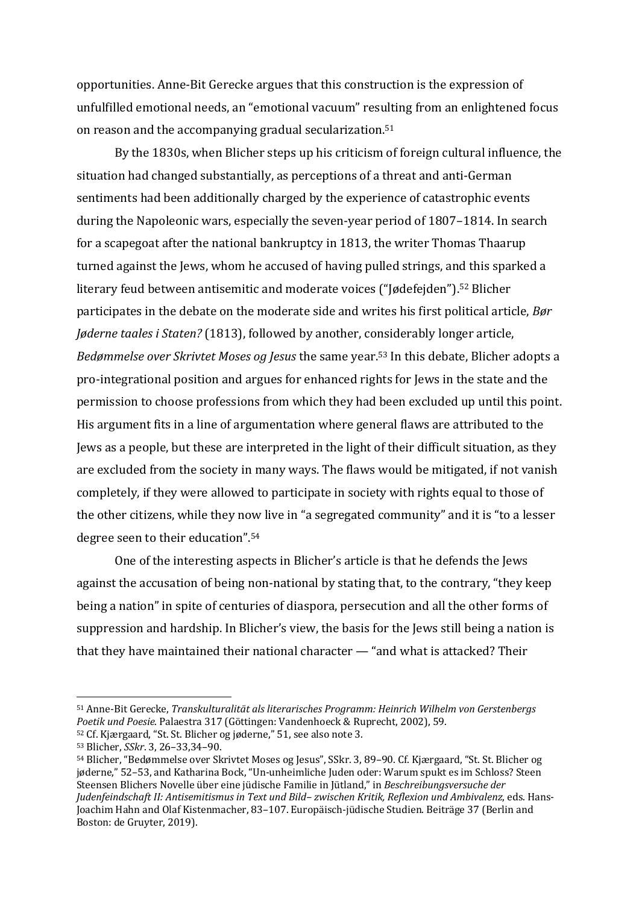opportunities. Anne-Bit Gerecke argues that this construction is the expression of unfulfilled emotional needs, an "emotional vacuum" resulting from an enlightened focus on reason and the accompanying gradual secularization.<sup>51</sup>

By the 1830s, when Blicher steps up his criticism of foreign cultural influence, the situation had changed substantially, as perceptions of a threat and anti-German sentiments had been additionally charged by the experience of catastrophic events during the Napoleonic wars, especially the seven-year period of 1807–1814. In search for a scapegoat after the national bankruptcy in 1813, the writer Thomas Thaarup turned against the Jews, whom he accused of having pulled strings, and this sparked a literary feud between antisemitic and moderate voices ("Jødefejden").<sup>52</sup> Blicher participates in the debate on the moderate side and writes his first political article, *Bør Jøderne taales i Staten?* (1813), followed by another, considerably longer article, Bedømmelse over Skrivtet Moses og Jesus the same year.<sup>53</sup> In this debate, Blicher adopts a pro-integrational position and argues for enhanced rights for Jews in the state and the permission to choose professions from which they had been excluded up until this point. His argument fits in a line of argumentation where general flaws are attributed to the Jews as a people, but these are interpreted in the light of their difficult situation, as they are excluded from the society in many ways. The flaws would be mitigated, if not vanish completely, if they were allowed to participate in society with rights equal to those of the other citizens, while they now live in "a segregated community" and it is "to a lesser degree seen to their education".<sup>54</sup>

One of the interesting aspects in Blicher's article is that he defends the Jews against the accusation of being non-national by stating that, to the contrary, "they keep being a nation" in spite of centuries of diaspora, persecution and all the other forms of suppression and hardship. In Blicher's view, the basis for the Jews still being a nation is that they have maintained their national character  $-$  "and what is attacked? Their

<sup>51</sup> Anne-Bit Gerecke, *Transkulturalität als literarisches Programm: Heinrich Wilhelm von Gerstenbergs* Poetik und Poesie. Palaestra 317 (Göttingen: Vandenhoeck & Ruprecht, 2002), 59.

 $52$  Cf. Kjærgaard, "St. St. Blicher og jøderne," 51, see also note 3.

<sup>53</sup> Blicher, *SSkr*. 3, 26–33,34–90.

<sup>54</sup> Blicher, "Bedømmelse over Skrivtet Moses og Jesus", SSkr. 3, 89–90. Cf. Kjærgaard, "St. St. Blicher og jøderne," 52-53, and Katharina Bock, "Un-unheimliche Juden oder: Warum spukt es im Schloss? Steen Steensen Blichers Novelle über eine jüdische Familie in Jütland," in Beschreibungsversuche der *Judenfeindschaft II: Antisemitismus in Text und Bild- zwischen Kritik, Reflexion und Ambivalenz, eds. Hans-*Joachim Hahn and Olaf Kistenmacher, 83-107. Europäisch-jüdische Studien. Beiträge 37 (Berlin and Boston: de Gruyter, 2019).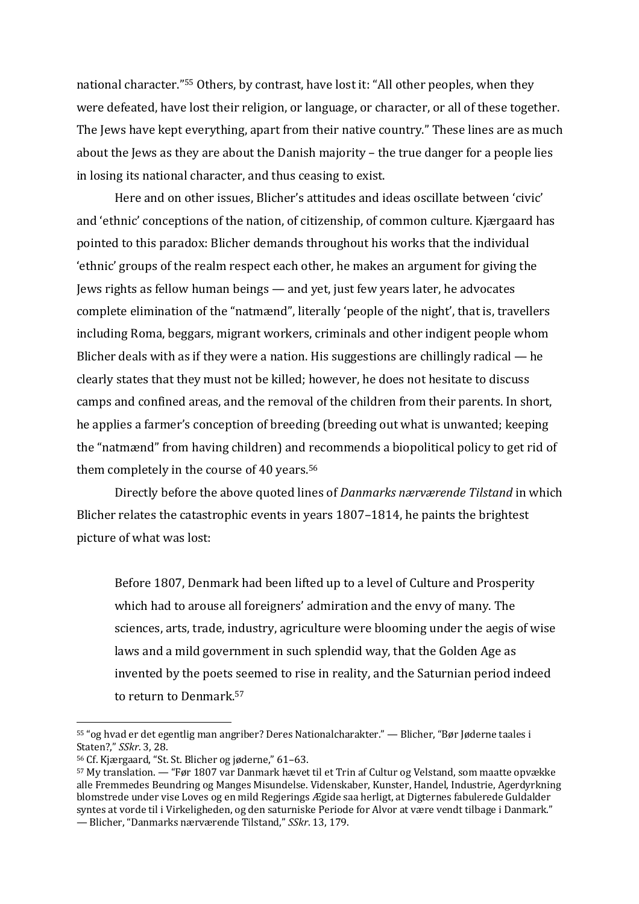national character."<sup>55</sup> Others, by contrast, have lost it: "All other peoples, when they were defeated, have lost their religion, or language, or character, or all of these together. The Jews have kept everything, apart from their native country." These lines are as much about the Jews as they are about the Danish majority  $-$  the true danger for a people lies in losing its national character, and thus ceasing to exist.

Here and on other issues. Blicher's attitudes and ideas oscillate between 'civic' and 'ethnic' conceptions of the nation, of citizenship, of common culture. Kjærgaard has pointed to this paradox: Blicher demands throughout his works that the individual 'ethnic' groups of the realm respect each other, he makes an argument for giving the Jews rights as fellow human beings — and yet, just few years later, he advocates complete elimination of the "natmænd", literally 'people of the night', that is, travellers including Roma, beggars, migrant workers, criminals and other indigent people whom Blicher deals with as if they were a nation. His suggestions are chillingly radical  $-$  he clearly states that they must not be killed; however, he does not hesitate to discuss camps and confined areas, and the removal of the children from their parents. In short, he applies a farmer's conception of breeding (breeding out what is unwanted; keeping the "natmænd" from having children) and recommends a biopolitical policy to get rid of them completely in the course of 40 years.<sup>56</sup>

Directly before the above quoted lines of *Danmarks nærværende Tilstand* in which Blicher relates the catastrophic events in years  $1807-1814$ , he paints the brightest picture of what was lost:

Before 1807, Denmark had been lifted up to a level of Culture and Prosperity which had to arouse all foreigners' admiration and the envy of many. The sciences, arts, trade, industry, agriculture were blooming under the aegis of wise laws and a mild government in such splendid way, that the Golden Age as invented by the poets seemed to rise in reality, and the Saturnian period indeed to return to Denmark.<sup>57</sup>

 $55$  "og hvad er det egentlig man angriber? Deres Nationalcharakter." — Blicher, "Bør Jøderne taales i Staten?." *SSkr*. 3, 28.

<sup>56</sup> Cf. Kjærgaard, "St. St. Blicher og jøderne," 61–63.

 $57$  My translation. — "Før 1807 var Danmark hævet til et Trin af Cultur og Velstand, som maatte opvække alle Fremmedes Beundring og Manges Misundelse. Videnskaber, Kunster, Handel, Industrie, Agerdyrkning blomstrede under vise Loves og en mild Regjerings Ægide saa herligt, at Digternes fabulerede Guldalder syntes at vorde til i Virkeligheden, og den saturniske Periode for Alvor at være vendt tilbage i Danmark." — Blicher, "Danmarks nærværende Tilstand," *SSkr*. 13, 179.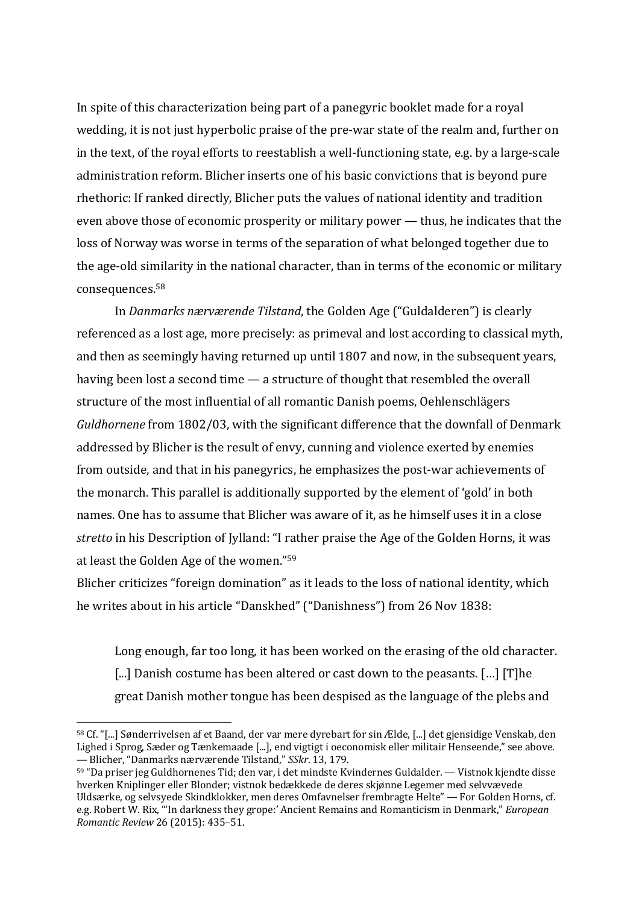In spite of this characterization being part of a panegyric booklet made for a royal wedding, it is not just hyperbolic praise of the pre-war state of the realm and, further on in the text, of the royal efforts to reestablish a well-functioning state, e.g. by a large-scale administration reform. Blicher inserts one of his basic convictions that is beyond pure rhethoric: If ranked directly, Blicher puts the values of national identity and tradition even above those of economic prosperity or military power  $-$  thus, he indicates that the loss of Norway was worse in terms of the separation of what belonged together due to the age-old similarity in the national character, than in terms of the economic or military consequences. 58

In *Danmarks nærværende Tilstand*, the Golden Age ("Guldalderen") is clearly referenced as a lost age, more precisely: as primeval and lost according to classical myth, and then as seemingly having returned up until 1807 and now, in the subsequent years, having been lost a second time  $-$  a structure of thought that resembled the overall structure of the most influential of all romantic Danish poems, Oehlenschlägers *Guldhornene* from 1802/03, with the significant difference that the downfall of Denmark addressed by Blicher is the result of envy, cunning and violence exerted by enemies from outside, and that in his panegyrics, he emphasizes the post-war achievements of the monarch. This parallel is additionally supported by the element of 'gold' in both names. One has to assume that Blicher was aware of it, as he himself uses it in a close stretto in his Description of Jylland: "I rather praise the Age of the Golden Horns, it was at least the Golden Age of the women."<sup>59</sup>

Blicher criticizes "foreign domination" as it leads to the loss of national identity, which he writes about in his article "Danskhed" ("Danishness") from 26 Nov 1838:

Long enough, far too long, it has been worked on the erasing of the old character. [...] Danish costume has been altered or cast down to the peasants. [...] [T]he great Danish mother tongue has been despised as the language of the plebs and

<sup>&</sup>lt;sup>58</sup> Cf. "[...] Sønderrivelsen af et Baand, der var mere dyrebart for sin Ælde, [...] det gjensidige Venskab, den Lighed i Sprog, Sæder og Tænkemaade [...], end vigtigt i oeconomisk eller militair Henseende," see above. — Blicher, "Danmarks nærværende Tilstand," *SSkr*. 13, 179.

 $59$  "Da priser jeg Guldhornenes Tid; den var, i det mindste Kvindernes Guldalder. — Vistnok kjendte disse hverken Kniplinger eller Blonder; vistnok bedækkede de deres skjønne Legemer med selvvævede Uldsærke, og selvsyede Skindklokker, men deres Omfavnelser frembragte Helte" — For Golden Horns, cf. e.g. Robert W. Rix, "'In darkness they grope:' Ancient Remains and Romanticism in Denmark," *European Romantic Review* 26 (2015): 435–51.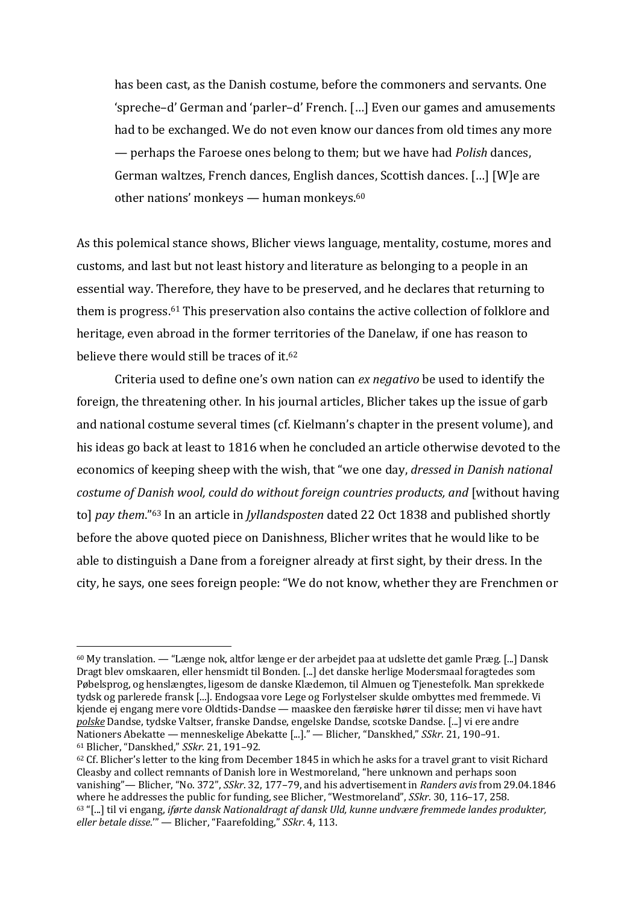has been cast, as the Danish costume, before the commoners and servants. One 'spreche-d' German and 'parler-d' French. [...] Even our games and amusements had to be exchanged. We do not even know our dances from old times any more — perhaps the Faroese ones belong to them; but we have had *Polish* dances, German waltzes, French dances, English dances, Scottish dances. [...] [W]e are other nations' monkeys — human monkeys. $60$ 

As this polemical stance shows, Blicher views language, mentality, costume, mores and customs, and last but not least history and literature as belonging to a people in an essential way. Therefore, they have to be preserved, and he declares that returning to them is progress.<sup>61</sup> This preservation also contains the active collection of folklore and heritage, even abroad in the former territories of the Danelaw, if one has reason to believe there would still be traces of it.<sup>62</sup>

Criteria used to define one's own nation can *ex negativo* be used to identify the foreign, the threatening other. In his journal articles, Blicher takes up the issue of garb and national costume several times (cf. Kielmann's chapter in the present volume), and his ideas go back at least to 1816 when he concluded an article otherwise devoted to the economics of keeping sheep with the wish, that "we one day, *dressed in Danish national* costume of Danish wool, could do without foreign countries products, and [without having tol *pay them*."<sup>63</sup> In an article in *Jyllandsposten* dated 22 Oct 1838 and published shortly before the above quoted piece on Danishness, Blicher writes that he would like to be able to distinguish a Dane from a foreigner already at first sight, by their dress. In the city, he says, one sees foreign people: "We do not know, whether they are Frenchmen or

 $60$  My translation. — "Længe nok, altfor længe er der arbejdet paa at udslette det gamle Præg. [...] Dansk Dragt blev omskaaren, eller hensmidt til Bonden. [...] det danske herlige Modersmaal foragtedes som Pøbelsprog, og henslængtes, ligesom de danske Klædemon, til Almuen og Tjenestefolk. Man sprekkede tydsk og parlerede fransk [...]. Endogsaa vore Lege og Forlystelser skulde ombyttes med fremmede. Vi kjende ej engang mere vore Oldtids-Dandse — maaskee den færøiske hører til disse; men vi have havt polske Dandse, tydske Valtser, franske Dandse, engelske Dandse, scotske Dandse. [...] vi ere andre Nationers Abekatte — menneskelige Abekatte [...]." — Blicher, "Danskhed," *SSkr.* 21, 190-91. <sup>61</sup> Blicher, "Danskhed," *SSkr*. 21, 191–92.

 $62$  Cf. Blicher's letter to the king from December 1845 in which he asks for a travel grant to visit Richard Cleasby and collect remnants of Danish lore in Westmoreland, "here unknown and perhaps soon vanishing"— Blicher, "No. 372", *SSkr*. 32, 177-79, and his advertisement in *Randers avis* from 29.04.1846 where he addresses the public for funding, see Blicher, "Westmoreland", *SSkr*. 30, 116-17, 258. 63 "[...] til vi engang, *iførte dansk Nationaldragt af dansk Uld, kunne undvære fremmede landes produkter, eller betale disse."'* - Blicher, "Faarefolding," *SSkr.* 4, 113.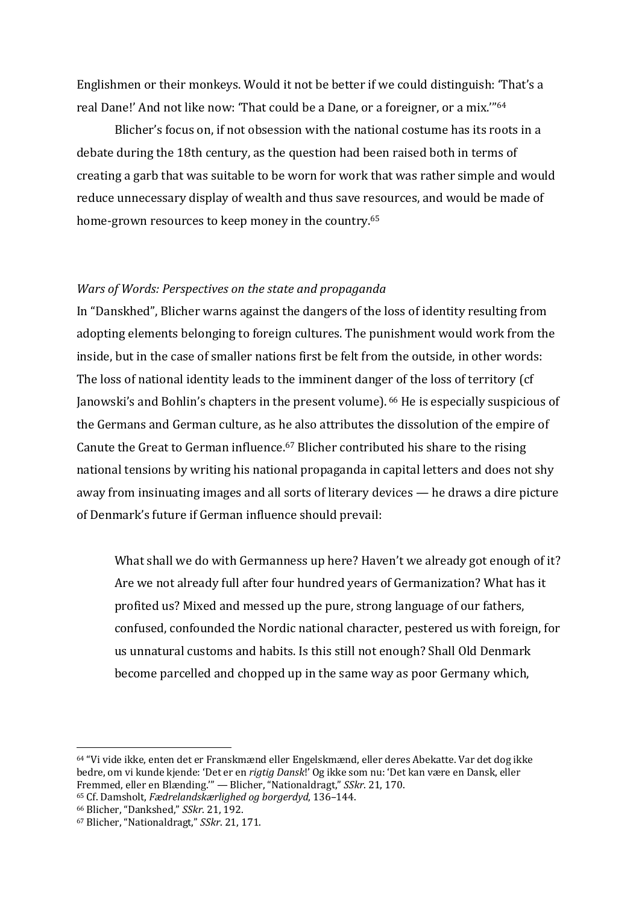Englishmen or their monkeys. Would it not be better if we could distinguish: 'That's a real Dane!' And not like now: 'That could be a Dane, or a foreigner, or a mix.'"<sup>64</sup>

Blicher's focus on, if not obsession with the national costume has its roots in a debate during the 18th century, as the question had been raised both in terms of creating a garb that was suitable to be worn for work that was rather simple and would reduce unnecessary display of wealth and thus save resources, and would be made of home-grown resources to keep money in the country.<sup>65</sup>

#### *Wars of Words: Perspectives on the state and propaganda*

In "Danskhed", Blicher warns against the dangers of the loss of identity resulting from adopting elements belonging to foreign cultures. The punishment would work from the inside, but in the case of smaller nations first be felt from the outside, in other words: The loss of national identity leads to the imminent danger of the loss of territory (cf Janowski's and Bohlin's chapters in the present volume). <sup>66</sup> He is especially suspicious of the Germans and German culture, as he also attributes the dissolution of the empire of Canute the Great to German influence.<sup>67</sup> Blicher contributed his share to the rising national tensions by writing his national propaganda in capital letters and does not shy away from insinuating images and all sorts of literary devices  $-$  he draws a dire picture of Denmark's future if German influence should prevail:

What shall we do with Germanness up here? Haven't we already got enough of it? Are we not already full after four hundred years of Germanization? What has it profited us? Mixed and messed up the pure, strong language of our fathers, confused, confounded the Nordic national character, pestered us with foreign, for us unnatural customs and habits. Is this still not enough? Shall Old Denmark become parcelled and chopped up in the same way as poor Germany which,

<sup>64 &</sup>quot;Vi vide ikke, enten det er Franskmænd eller Engelskmænd, eller deres Abekatte. Var det dog ikke bedre, om vi kunde kjende: 'Det er en *rigtig Dansk*!' Og ikke som nu: 'Det kan være en Dansk, eller Fremmed, eller en Blænding." — Blicher, "Nationaldragt," *SSkr.* 21, 170.

<sup>65</sup> Cf. Damsholt, *Fædrelandskærlighed og borgerdyd*, 136-144.

<sup>66</sup> Blicher, "Dankshed," *SSkr*. 21, 192.

<sup>&</sup>lt;sup>67</sup> Blicher, "Nationaldragt," *SSkr*. 21, 171.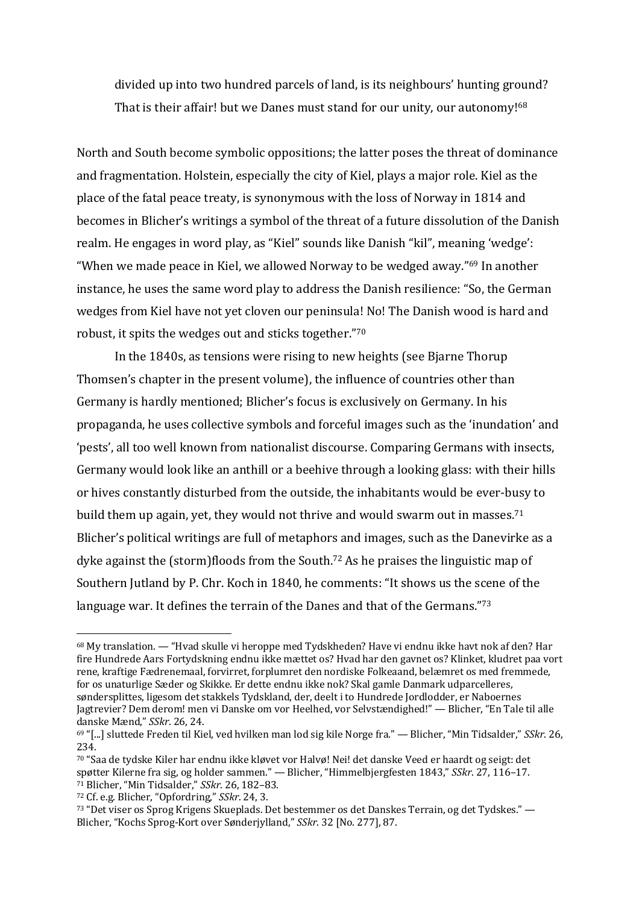divided up into two hundred parcels of land, is its neighbours' hunting ground? That is their affair! but we Danes must stand for our unity, our autonomy!<sup>68</sup>

North and South become symbolic oppositions; the latter poses the threat of dominance and fragmentation. Holstein, especially the city of Kiel, plays a major role. Kiel as the place of the fatal peace treaty, is synonymous with the loss of Norway in 1814 and becomes in Blicher's writings a symbol of the threat of a future dissolution of the Danish realm. He engages in word play, as "Kiel" sounds like Danish "kil", meaning 'wedge': "When we made peace in Kiel, we allowed Norway to be wedged away."<sup>69</sup> In another instance, he uses the same word play to address the Danish resilience: "So, the German wedges from Kiel have not yet cloven our peninsula! No! The Danish wood is hard and robust, it spits the wedges out and sticks together."70

In the 1840s, as tensions were rising to new heights (see Bjarne Thorup Thomsen's chapter in the present volume), the influence of countries other than Germany is hardly mentioned; Blicher's focus is exclusively on Germany. In his propaganda, he uses collective symbols and forceful images such as the 'inundation' and 'pests', all too well known from nationalist discourse. Comparing Germans with insects, Germany would look like an anthill or a beehive through a looking glass: with their hills or hives constantly disturbed from the outside, the inhabitants would be ever-busy to build them up again, yet, they would not thrive and would swarm out in masses.<sup>71</sup> Blicher's political writings are full of metaphors and images, such as the Danevirke as a dyke against the (storm)floods from the South.<sup>72</sup> As he praises the linguistic map of Southern Jutland by P. Chr. Koch in 1840, he comments: "It shows us the scene of the language war. It defines the terrain of the Danes and that of the Germans."<sup>73</sup>

 $68$  My translation. — "Hvad skulle vi heroppe med Tydskheden? Have vi endnu ikke havt nok af den? Har fire Hundrede Aars Fortydskning endnu ikke mættet os? Hvad har den gavnet os? Klinket, kludret paa vort rene, kraftige Fædrenemaal, forvirret, forplumret den nordiske Folkeaand, belæmret os med fremmede, for os unaturlige Sæder og Skikke. Er dette endnu ikke nok? Skal gamle Danmark udparcelleres, søndersplittes, ligesom det stakkels Tydskland, der, deelt i to Hundrede Jordlodder, er Naboernes Jagtrevier? Dem derom! men vi Danske om vor Heelhed, vor Selvstændighed!" — Blicher, "En Tale til alle danske Mænd," *SSkr*. 26, 24.

<sup>69 &</sup>quot;[...] sluttede Freden til Kiel, ved hvilken man lod sig kile Norge fra." — Blicher, "Min Tidsalder," *SSkr.* 26, 234.

<sup>70 &</sup>quot;Saa de tydske Kiler har endnu ikke kløvet vor Halvø! Nei! det danske Veed er haardt og seigt: det spøtter Kilerne fra sig, og holder sammen." — Blicher, "Himmelbjergfesten 1843," *SSkr.* 27, 116-17. <sup>71</sup> Blicher, "Min Tidsalder," *SSkr*. 26, 182-83.

<sup>&</sup>lt;sup>72</sup> Cf. e.g. Blicher, "Opfordring," *SSkr*. 24, 3.

 $73$  "Det viser os Sprog Krigens Skueplads. Det bestemmer os det Danskes Terrain, og det Tydskes." — Blicher, "Kochs Sprog-Kort over Sønderjylland," *SSkr.* 32 [No. 277], 87.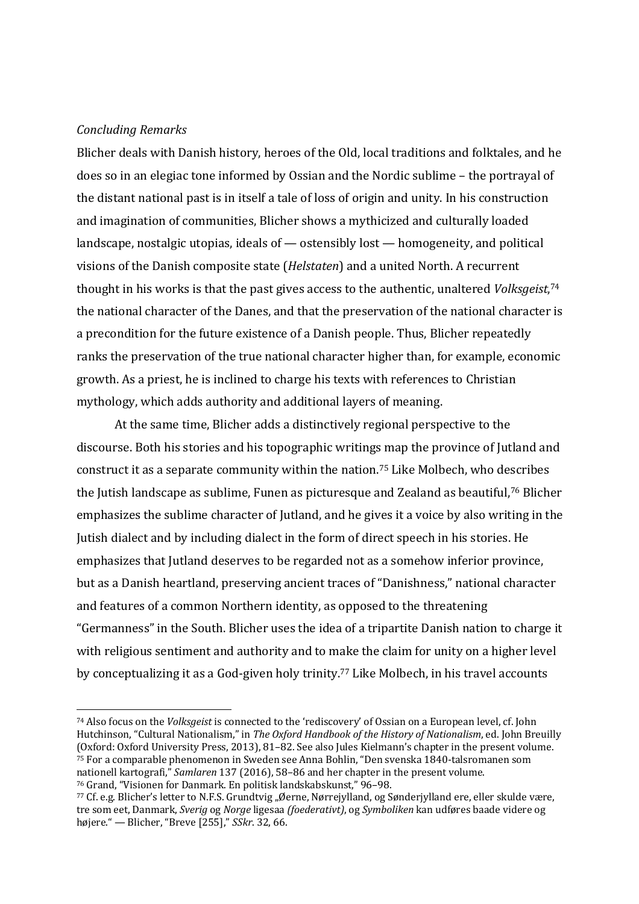#### *Concluding Remarks*

Blicher deals with Danish history, heroes of the Old, local traditions and folktales, and he does so in an elegiac tone informed by Ossian and the Nordic sublime – the portrayal of the distant national past is in itself a tale of loss of origin and unity. In his construction and imagination of communities, Blicher shows a mythicized and culturally loaded landscape, nostalgic utopias, ideals of  $-$  ostensibly lost  $-$  homogeneity, and political visions of the Danish composite state (*Helstaten*) and a united North. A recurrent thought in his works is that the past gives access to the authentic, unaltered *Volksgeist*,<sup>74</sup> the national character of the Danes, and that the preservation of the national character is a precondition for the future existence of a Danish people. Thus, Blicher repeatedly ranks the preservation of the true national character higher than, for example, economic growth. As a priest, he is inclined to charge his texts with references to Christian mythology, which adds authority and additional layers of meaning.

At the same time, Blicher adds a distinctively regional perspective to the discourse. Both his stories and his topographic writings map the province of Jutland and construct it as a separate community within the nation.<sup>75</sup> Like Molbech, who describes the Jutish landscape as sublime, Funen as picturesque and Zealand as beautiful,<sup>76</sup> Blicher emphasizes the sublime character of Jutland, and he gives it a voice by also writing in the Jutish dialect and by including dialect in the form of direct speech in his stories. He emphasizes that Jutland deserves to be regarded not as a somehow inferior province, but as a Danish heartland, preserving ancient traces of "Danishness," national character and features of a common Northern identity, as opposed to the threatening "Germanness" in the South. Blicher uses the idea of a tripartite Danish nation to charge it with religious sentiment and authority and to make the claim for unity on a higher level by conceptualizing it as a God-given holy trinity.<sup>77</sup> Like Molbech, in his travel accounts

<sup>&</sup>lt;sup>74</sup> Also focus on the *Volksgeist* is connected to the 'rediscovery' of Ossian on a European level, cf. John Hutchinson, "Cultural Nationalism," in *The Oxford Handbook of the History of Nationalism*, ed. John Breuilly  $(0xford: Oxford: University Press, 2013), 81–82. See also Iules Kielmann's chapter in the present volume.$ 75 For a comparable phenomenon in Sweden see Anna Bohlin, "Den svenska 1840-talsromanen som nationell kartografi," *Samlaren* 137 (2016), 58-86 and her chapter in the present volume. <sup>76</sup> Grand, "Visionen for Danmark. En politisk landskabskunst," 96-98.

<sup>77</sup> Cf. e.g. Blicher's letter to N.F.S. Grundtvig "Øerne, Nørrejylland, og Sønderjylland ere, eller skulde være, tre som eet, Danmark, *Sverig* og *Norge* ligesaa *(foederativt)*, og *Symboliken* kan udføres baade videre og højere." — Blicher, "Breve [255]," *SSkr*. 32, 66.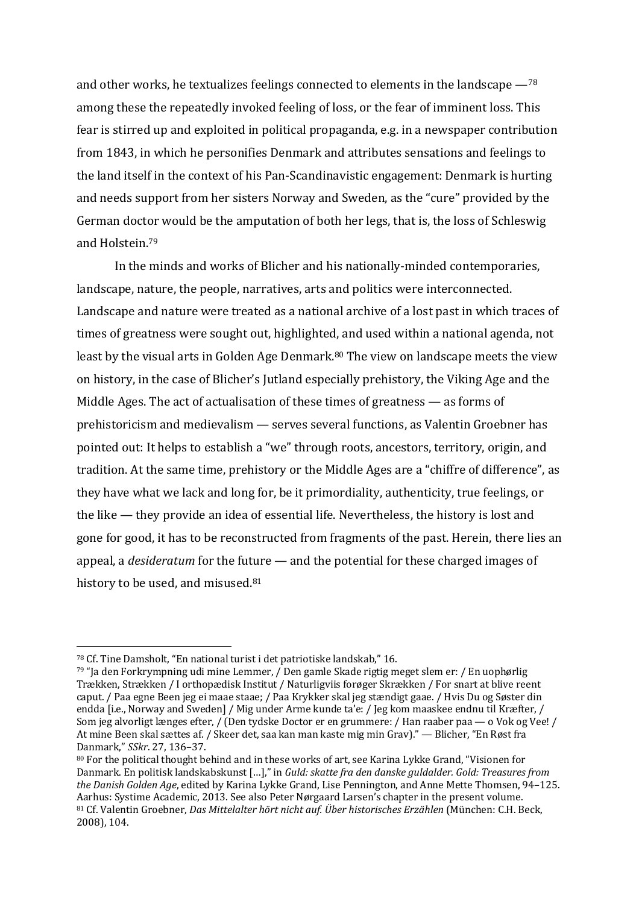and other works, he textualizes feelings connected to elements in the landscape  $-$ <sup>78</sup> among these the repeatedly invoked feeling of loss, or the fear of imminent loss. This fear is stirred up and exploited in political propaganda, e.g. in a newspaper contribution from 1843, in which he personifies Denmark and attributes sensations and feelings to the land itself in the context of his Pan-Scandinavistic engagement: Denmark is hurting and needs support from her sisters Norway and Sweden, as the "cure" provided by the German doctor would be the amputation of both her legs, that is, the loss of Schleswig and Holstein.<sup>79</sup>

In the minds and works of Blicher and his nationally-minded contemporaries, landscape, nature, the people, narratives, arts and politics were interconnected. Landscape and nature were treated as a national archive of a lost past in which traces of times of greatness were sought out, highlighted, and used within a national agenda, not least by the visual arts in Golden Age Denmark.<sup>80</sup> The view on landscape meets the view on history, in the case of Blicher's Jutland especially prehistory, the Viking Age and the Middle Ages. The act of actualisation of these times of greatness  $-$  as forms of prehistoricism and medievalism — serves several functions, as Valentin Groebner has pointed out: It helps to establish a "we" through roots, ancestors, territory, origin, and tradition. At the same time, prehistory or the Middle Ages are a "chiffre of difference", as they have what we lack and long for, be it primordiality, authenticity, true feelings, or the like  $-$  they provide an idea of essential life. Nevertheless, the history is lost and gone for good, it has to be reconstructed from fragments of the past. Herein, there lies an appeal, a *desideratum* for the future — and the potential for these charged images of history to be used, and misused. $81$ 

<sup>&</sup>lt;sup>78</sup> Cf. Tine Damsholt, "En national turist i det patriotiske landskab," 16.

<sup>79 &</sup>quot;Ja den Forkrympning udi mine Lemmer, / Den gamle Skade rigtig meget slem er: / En uophørlig Trækken, Strækken / I orthopædisk Institut / Naturligviis forøger Skrækken / For snart at blive reent caput. / Paa egne Been jeg ei maae staae; / Paa Krykker skal jeg stændigt gaae. / Hvis Du og Søster din endda [i.e., Norway and Sweden] / Mig under Arme kunde ta'e: / Jeg kom maaskee endnu til Kræfter, / Som jeg alvorligt længes efter, / (Den tydske Doctor er en grummere: / Han raaber paa — o Vok og Vee! / At mine Been skal sættes af. / Skeer det, saa kan man kaste mig min Grav)." — Blicher, "En Røst fra Danmark," *SSkr*. 27, 136–37.

<sup>80</sup> For the political thought behind and in these works of art, see Karina Lykke Grand, "Visionen for Danmark. En politisk landskabskunst [...]," in *Guld: skatte fra den danske guldalder. Gold: Treasures from the Danish Golden Age*, edited by Karina Lykke Grand, Lise Pennington, and Anne Mette Thomsen, 94–125. Aarhus: Systime Academic, 2013. See also Peter Nørgaard Larsen's chapter in the present volume. 81 Cf. Valentin Groebner, *Das Mittelalter hört nicht auf. Über historisches Erzählen* (München: C.H. Beck, 2008), 104.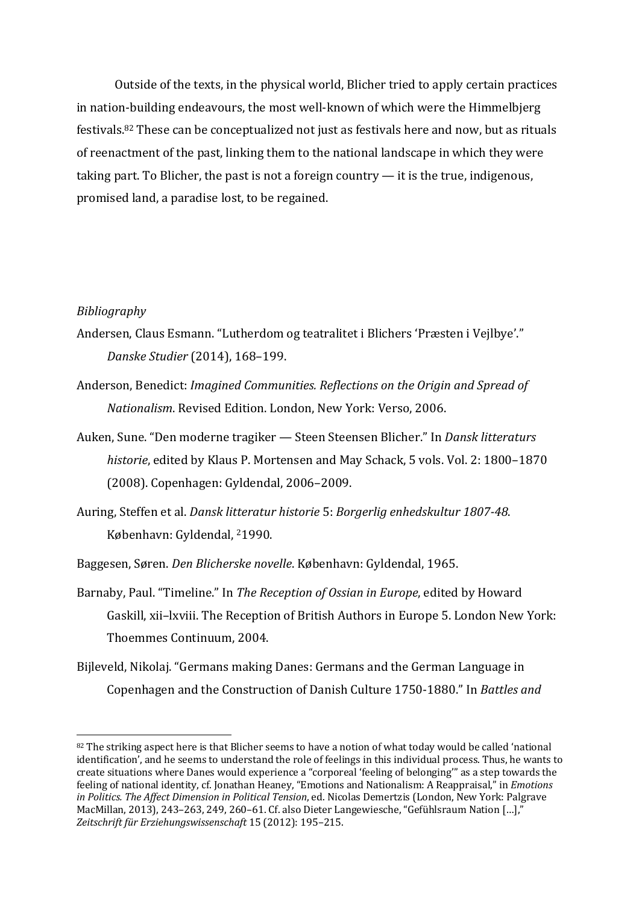Outside of the texts, in the physical world, Blicher tried to apply certain practices in nation-building endeavours, the most well-known of which were the Himmelbjerg festivals.<sup>82</sup> These can be conceptualized not just as festivals here and now, but as rituals of reenactment of the past, linking them to the national landscape in which they were taking part. To Blicher, the past is not a foreign country  $-$  it is the true, indigenous, promised land, a paradise lost, to be regained.

#### *Bibliography*

- Andersen, Claus Esmann. "Lutherdom og teatralitet i Blichers 'Præsten i Vejlbye'." *Danske Studier* (2014), 168–199.
- Anderson, Benedict: *Imagined Communities, Reflections on the Origin and Spread of Nationalism.* Revised Edition. London. New York: Verso, 2006.
- Auken, Sune. "Den moderne tragiker Steen Steensen Blicher." In *Dansk litteraturs historie*, edited by Klaus P. Mortensen and May Schack, 5 vols. Vol. 2: 1800-1870 (2008). Copenhagen: Gyldendal, 2006-2009.
- Auring, Steffen et al. *Dansk litteratur historie* 5: *Borgerlig enhedskultur 1807-48*. København: Gyldendal, <sup>2</sup>1990.
- Baggesen, Søren. Den Blicherske novelle. København: Gyldendal, 1965.
- Barnaby, Paul. "Timeline." In *The Reception of Ossian in Europe*, edited by Howard Gaskill, xii-lxviii. The Reception of British Authors in Europe 5. London New York: Thoemmes Continuum, 2004.
- Bijleveld, Nikolaj. "Germans making Danes: Germans and the German Language in Copenhagen and the Construction of Danish Culture 1750-1880." In *Battles and*

 $82$  The striking aspect here is that Blicher seems to have a notion of what today would be called 'national identification', and he seems to understand the role of feelings in this individual process. Thus, he wants to create situations where Danes would experience a "corporeal 'feeling of belonging'" as a step towards the feeling of national identity, cf. Jonathan Heaney, "Emotions and Nationalism: A Reappraisal," in *Emotions* in Politics. The Affect Dimension in Political Tension, ed. Nicolas Demertzis (London, New York: Palgrave MacMillan, 2013), 243–263, 249, 260–61. Cf. also Dieter Langewiesche, "Gefühlsraum Nation  $\left[\ldots\right]$ ," Zeitschrift für Erziehungswissenschaft 15 (2012): 195-215.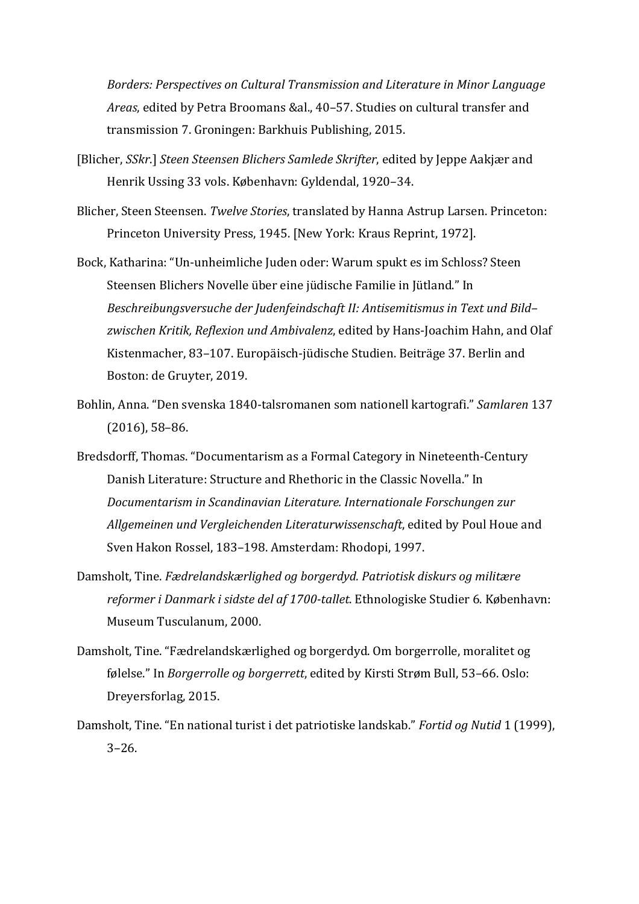*Borders: Perspectives on Cultural Transmission and Literature in Minor Language* Areas, edited by Petra Broomans &al., 40-57. Studies on cultural transfer and transmission 7. Groningen: Barkhuis Publishing, 2015.

- [Blicher, *SSkr*.] *Steen Steensen Blichers Samlede Skrifter*, edited by Jeppe Aakjær and Henrik Ussing 33 vols. København: Gyldendal, 1920-34.
- Blicher, Steen Steensen. *Twelve Stories*, translated by Hanna Astrup Larsen. Princeton: Princeton University Press, 1945. [New York: Kraus Reprint, 1972].
- Bock, Katharina: "Un-unheimliche Juden oder: Warum spukt es im Schloss? Steen Steensen Blichers Novelle über eine jüdische Familie in Jütland." In Beschreibungsversuche der Judenfeindschaft II: Antisemitismus in Text und Bildzwischen Kritik, Reflexion und Ambivalenz, edited by Hans-Joachim Hahn, and Olaf Kistenmacher, 83-107. Europäisch-jüdische Studien. Beiträge 37. Berlin and Boston: de Gruyter, 2019.
- Bohlin, Anna. "Den svenska 1840-talsromanen som nationell kartografi." *Samlaren* 137  $(2016)$ , 58–86.
- Bredsdorff, Thomas. "Documentarism as a Formal Category in Nineteenth-Century Danish Literature: Structure and Rhethoric in the Classic Novella." In *Documentarism in Scandinavian Literature. Internationale Forschungen zur* Allgemeinen und Vergleichenden Literaturwissenschaft, edited by Poul Houe and Sven Hakon Rossel, 183-198. Amsterdam: Rhodopi, 1997.
- Damsholt, Tine. *Fædrelandskærlighed og borgerdyd. Patriotisk diskurs og militære reformer i Danmark i sidste del af 1700-tallet*. Ethnologiske Studier 6. København: Museum Tusculanum, 2000.
- Damsholt, Tine. "Fædrelandskærlighed og borgerdyd. Om borgerrolle, moralitet og følelse." In *Borgerrolle og borgerrett*, edited by Kirsti Strøm Bull, 53-66. Oslo: Dreyersforlag, 2015.
- Damsholt, Tine. "En national turist i det patriotiske landskab." Fortid og Nutid 1 (1999), 3–26.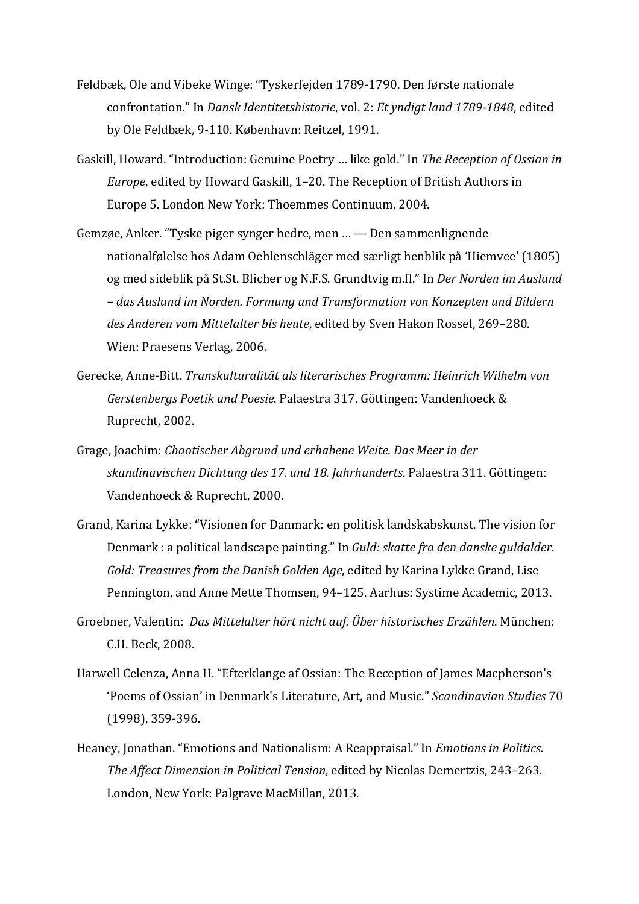- Feldbæk, Ole and Vibeke Winge: "Tyskerfejden 1789-1790. Den første nationale confrontation." In *Dansk Identitetshistorie*, vol. 2: *Et yndigt land 1789-1848*, edited by Ole Feldbæk, 9-110. København: Reitzel, 1991.
- Gaskill, Howard. "Introduction: Genuine Poetry ... like gold." In *The Reception of Ossian in Europe*, edited by Howard Gaskill, 1-20. The Reception of British Authors in Europe 5. London New York: Thoemmes Continuum, 2004.
- Gemzøe, Anker. "Tyske piger synger bedre, men ... Den sammenlignende nationalfølelse hos Adam Oehlenschläger med særligt henblik på 'Hiemvee' (1805) og med sideblik på St.St. Blicher og N.F.S. Grundtvig m.fl." In *Der Norden im Ausland – das Ausland im Norden. Formung und Transformation von Konzepten und Bildern*  des Anderen vom Mittelalter bis heute, edited by Sven Hakon Rossel, 269-280. Wien: Praesens Verlag, 2006.
- Gerecke, Anne-Bitt. *Transkulturalität als literarisches Programm: Heinrich Wilhelm von Gerstenbergs Poetik und Poesie*. Palaestra 317. Göttingen: Vandenhoeck & Ruprecht, 2002.
- Grage, Joachim: Chaotischer Abgrund und erhabene Weite. Das Meer in der *skandinavischen Dichtung des 17. und 18. Jahrhunderts*. Palaestra 311. Göttingen: Vandenhoeck & Ruprecht, 2000.
- Grand, Karina Lykke: "Visionen for Danmark: en politisk landskabskunst. The vision for Denmark : a political landscape painting." In *Guld: skatte fra den danske guldalder. Gold: Treasures from the Danish Golden Age*, edited by Karina Lykke Grand, Lise Pennington, and Anne Mette Thomsen, 94-125. Aarhus: Systime Academic, 2013.
- Groebner, Valentin: *Das Mittelalter hört nicht auf. Über historisches Erzählen*. München: C.H. Beck, 2008.
- Harwell Celenza, Anna H. "Efterklange af Ossian: The Reception of James Macpherson's 'Poems of Ossian' in Denmark's Literature, Art, and Music." *Scandinavian Studies* 70 (1998), 359-396.
- Heaney, Jonathan. "Emotions and Nationalism: A Reappraisal." In *Emotions in Politics. The Affect Dimension in Political Tension*, edited by Nicolas Demertzis, 243-263. London, New York: Palgrave MacMillan, 2013.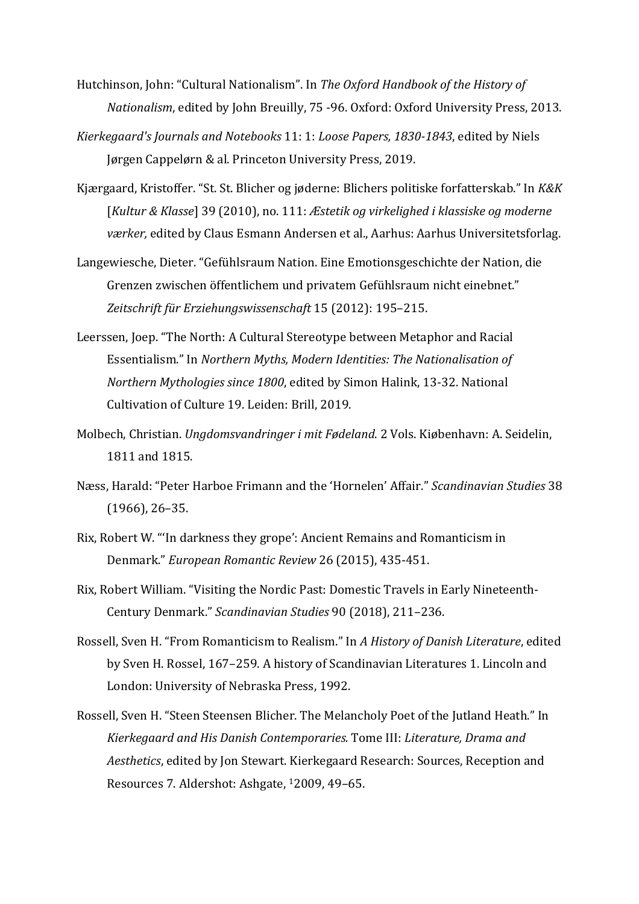- Hutchinson, John: "Cultural Nationalism". In *The Oxford Handbook of the History of Nationalism*, edited by John Breuilly, 75 -96. Oxford: Oxford University Press, 2013.
- *Kierkegaard's Journals and Notebooks* 11: 1: *Loose Papers, 1830-1843*, edited by Niels Jørgen Cappelørn & al. Princeton University Press, 2019.
- Kjærgaard, Kristoffer. "St. St. Blicher og jøderne: Blichers politiske forfatterskab." In *K&K* [*Kultur & Klasse*] 39 (2010), no. 111: *Æstetik og virkelighed i klassiske og moderne værker*, edited by Claus Esmann Andersen et al., Aarhus: Aarhus Universitetsforlag.
- Langewiesche, Dieter. "Gefühlsraum Nation. Eine Emotionsgeschichte der Nation, die Grenzen zwischen öffentlichem und privatem Gefühlsraum nicht einebnet." Zeitschrift für Erziehungswissenschaft 15 (2012): 195-215.
- Leerssen, Joep. "The North: A Cultural Stereotype between Metaphor and Racial Essentialism." In Northern Myths, Modern Identities: The Nationalisation of *Northern Mythologies since 1800*, edited by Simon Halink, 13-32. National Cultivation of Culture 19. Leiden: Brill, 2019.
- Molbech, Christian. *Ungdomsvandringer i mit Fødeland*. 2 Vols. Kiøbenhavn: A. Seidelin, 1811 and 1815.
- Næss, Harald: "Peter Harboe Frimann and the 'Hornelen' Affair." *Scandinavian Studies* 38  $(1966)$ , 26-35.
- Rix, Robert W. "'In darkness they grope': Ancient Remains and Romanticism in Denmark." *European Romantic Review* 26 (2015), 435-451.
- Rix, Robert William. "Visiting the Nordic Past: Domestic Travels in Early Nineteenth-Century Denmark." *Scandinavian Studies* 90 (2018), 211–236.
- Rossell, Sven H. "From Romanticism to Realism." In A History of Danish Literature, edited by Sven H. Rossel, 167-259. A history of Scandinavian Literatures 1. Lincoln and London: University of Nebraska Press, 1992.
- Rossell, Sven H. "Steen Steensen Blicher. The Melancholy Poet of the Jutland Heath." In *Kierkegaard and His Danish Contemporaries.* Tome III: *Literature, Drama and* Aesthetics, edited by Jon Stewart. Kierkegaard Research: Sources, Reception and Resources 7. Aldershot: Ashgate, <sup>1</sup>2009, 49-65.